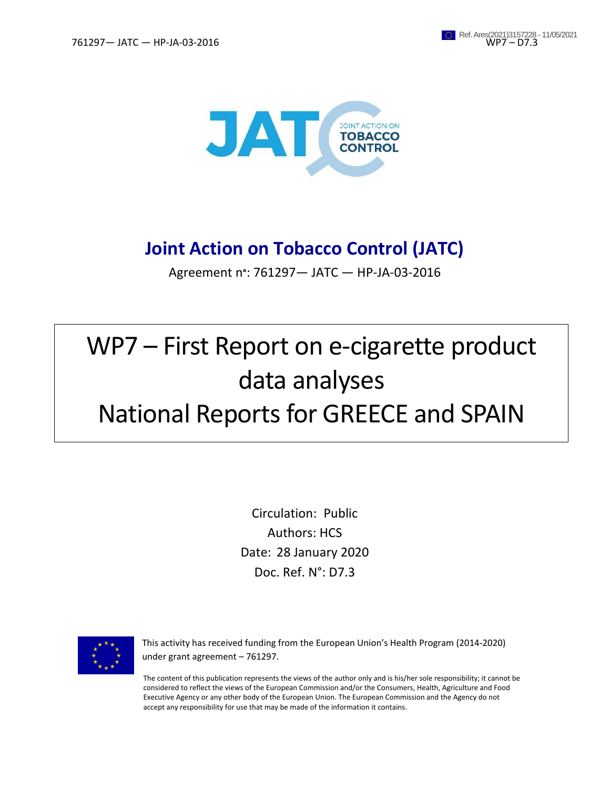

# **Joint Action on Tobacco Control (JATC)**

Agreement n**°**: 761297— JATC — HP-JA-03-2016

# WP7 – First Report on e-cigarette product data analyses National Reports for GREECE and SPAIN

Circulation: Public Authors: HCS Date: 28 January 2020 Doc. Ref. N°: D7.3



This activity has received funding from the European Union's Health Program (2014-2020) under grant agreement – 761297.

The content of this publication represents the views of the author only and is his/her sole responsibility; it cannot be considered to reflect the views of the European Commission and/or the Consumers, Health, Agriculture and Food Executive Agency or any other body of the European Union. The European Commission and the Agency do not accept any responsibility for use that may be made of the information it contains.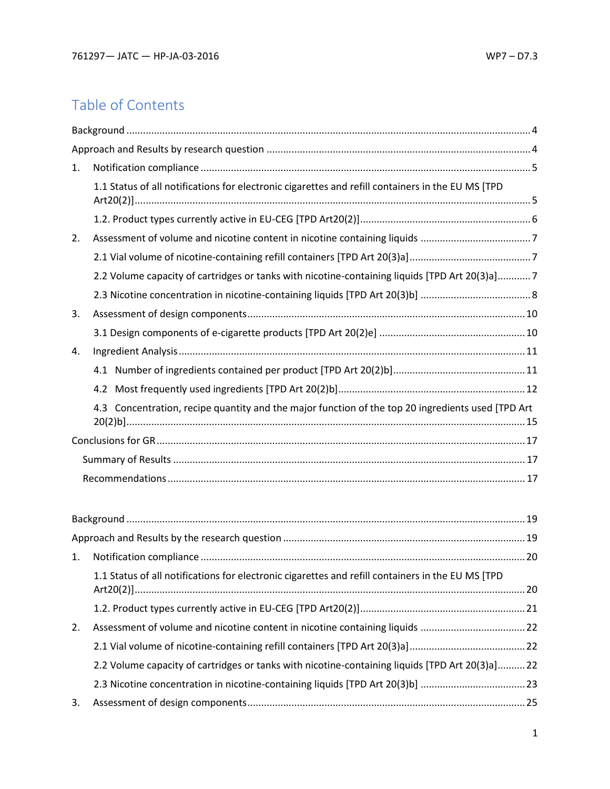# Table of Contents

| 1. |                                                                                                    |  |
|----|----------------------------------------------------------------------------------------------------|--|
|    | 1.1 Status of all notifications for electronic cigarettes and refill containers in the EU MS [TPD  |  |
|    |                                                                                                    |  |
| 2. |                                                                                                    |  |
|    |                                                                                                    |  |
|    | 2.2 Volume capacity of cartridges or tanks with nicotine-containing liquids [TPD Art 20(3)a]7      |  |
|    |                                                                                                    |  |
| 3. |                                                                                                    |  |
|    |                                                                                                    |  |
| 4. |                                                                                                    |  |
|    |                                                                                                    |  |
|    |                                                                                                    |  |
|    | 4.3 Concentration, recipe quantity and the major function of the top 20 ingredients used [TPD Art] |  |
|    |                                                                                                    |  |
|    |                                                                                                    |  |
|    |                                                                                                    |  |
|    |                                                                                                    |  |
|    |                                                                                                    |  |
|    |                                                                                                    |  |
| 1. |                                                                                                    |  |
|    | 1.1 Status of all notifications for electronic cigarettes and refill containers in the EU MS [TPD  |  |
|    |                                                                                                    |  |
| 2. | Assessment of volume and nicotine content in nicotine containing liquids 22                        |  |
|    |                                                                                                    |  |
|    | 2.2 Volume capacity of cartridges or tanks with nicotine-containing liquids [TPD Art 20(3)a]22     |  |
|    | 23. Nicotine concentration in nicotine-containing liquids [TPD Art 20(3)b] 23                      |  |
| 3. |                                                                                                    |  |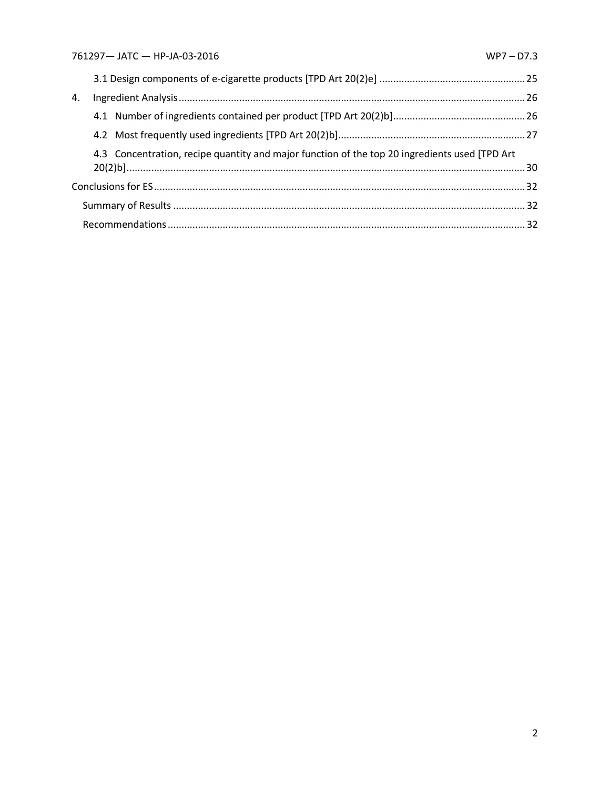| 4. |                                                                                                |  |
|----|------------------------------------------------------------------------------------------------|--|
|    |                                                                                                |  |
|    |                                                                                                |  |
|    | 4.3 Concentration, recipe quantity and major function of the top 20 ingredients used [TPD Art] |  |
|    |                                                                                                |  |
|    |                                                                                                |  |
|    |                                                                                                |  |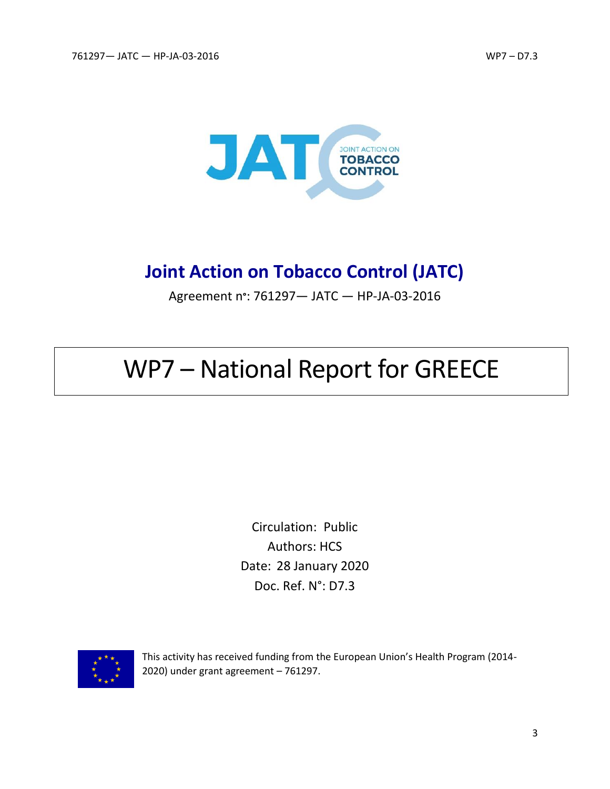

# **Joint Action on Tobacco Control (JATC)**

Agreement n**°**: 761297— JATC — HP-JA-03-2016

# WP7 – National Report for GREECE

Circulation: Public Authors: HCS Date: 28 January 2020 Doc. Ref. N°: D7.3



This activity has received funding from the European Union's Health Program (2014- 2020) under grant agreement – 761297.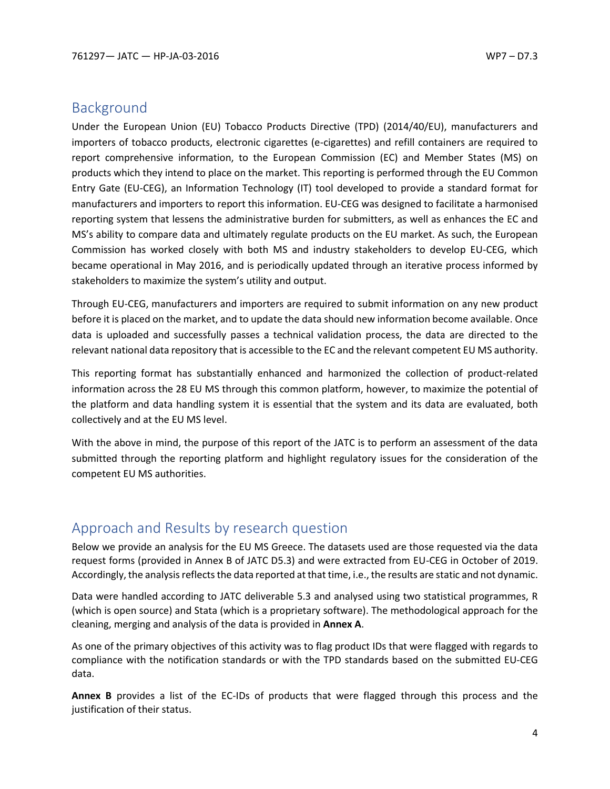# <span id="page-4-0"></span>Background

Under the European Union (EU) Tobacco Products Directive (TPD) (2014/40/EU), manufacturers and importers of tobacco products, electronic cigarettes (e-cigarettes) and refill containers are required to report comprehensive information, to the European Commission (EC) and Member States (MS) on products which they intend to place on the market. This reporting is performed through the EU Common Entry Gate (EU-CEG), an Information Technology (IT) tool developed to provide a standard format for manufacturers and importers to report this information. EU-CEG was designed to facilitate a harmonised reporting system that lessens the administrative burden for submitters, as well as enhances the EC and MS's ability to compare data and ultimately regulate products on the EU market. As such, the European Commission has worked closely with both MS and industry stakeholders to develop EU-CEG, which became operational in May 2016, and is periodically updated through an iterative process informed by stakeholders to maximize the system's utility and output.

Through EU-CEG, manufacturers and importers are required to submit information on any new product before it is placed on the market, and to update the data should new information become available. Once data is uploaded and successfully passes a technical validation process, the data are directed to the relevant national data repository that is accessible to the EC and the relevant competent EU MS authority.

This reporting format has substantially enhanced and harmonized the collection of product-related information across the 28 EU MS through this common platform, however, to maximize the potential of the platform and data handling system it is essential that the system and its data are evaluated, both collectively and at the EU MS level.

With the above in mind, the purpose of this report of the JATC is to perform an assessment of the data submitted through the reporting platform and highlight regulatory issues for the consideration of the competent EU MS authorities.

# <span id="page-4-1"></span>Approach and Results by research question

Below we provide an analysis for the EU MS Greece. The datasets used are those requested via the data request forms (provided in Annex B of JATC D5.3) and were extracted from EU-CEG in October of 2019. Accordingly, the analysis reflects the data reported at that time, i.e., the results are static and not dynamic.

Data were handled according to JATC deliverable 5.3 and analysed using two statistical programmes, R (which is open source) and Stata (which is a proprietary software). The methodological approach for the cleaning, merging and analysis of the data is provided in **Annex A**.

As one of the primary objectives of this activity was to flag product IDs that were flagged with regards to compliance with the notification standards or with the TPD standards based on the submitted EU-CEG data.

**Annex B** provides a list of the EC-IDs of products that were flagged through this process and the justification of their status.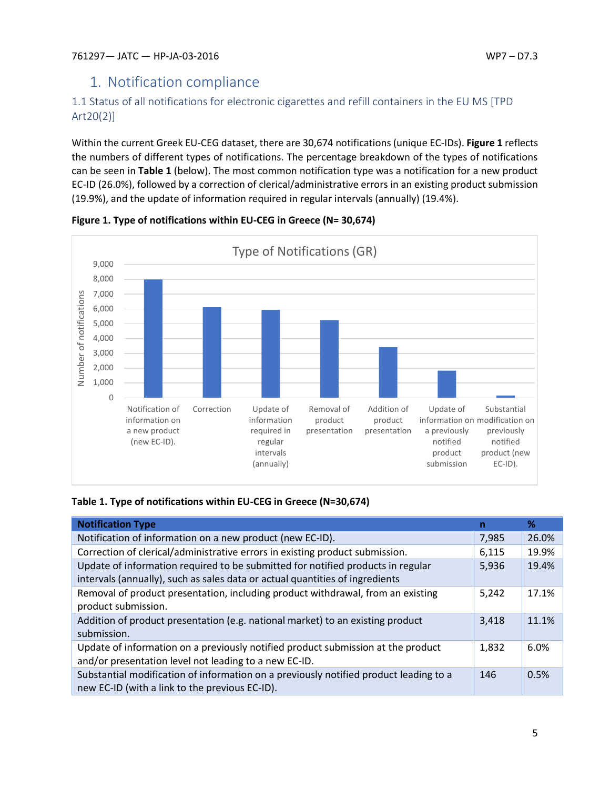# <span id="page-5-0"></span>1. Notification compliance

# <span id="page-5-1"></span>1.1 Status of all notifications for electronic cigarettes and refill containers in the EU MS [TPD Art20(2)]

Within the current Greek EU-CEG dataset, there are 30,674 notifications (unique EC-IDs). **Figure 1** reflects the numbers of different types of notifications. The percentage breakdown of the types of notifications can be seen in **Table 1** (below). The most common notification type was a notification for a new product EC-ID (26.0%), followed by a correction of clerical/administrative errors in an existing product submission (19.9%), and the update of information required in regular intervals (annually) (19.4%).



**Figure 1. Type of notifications within EU-CEG in Greece (N= 30,674)**

## **Table 1. Type of notifications within EU-CEG in Greece (N=30,674)**

| <b>Notification Type</b>                                                              | n     | ℅     |
|---------------------------------------------------------------------------------------|-------|-------|
| Notification of information on a new product (new EC-ID).                             | 7,985 | 26.0% |
| Correction of clerical/administrative errors in existing product submission.          | 6,115 | 19.9% |
| Update of information required to be submitted for notified products in regular       | 5,936 | 19.4% |
| intervals (annually), such as sales data or actual quantities of ingredients          |       |       |
| Removal of product presentation, including product withdrawal, from an existing       | 5,242 | 17.1% |
| product submission.                                                                   |       |       |
| Addition of product presentation (e.g. national market) to an existing product        | 3,418 | 11.1% |
| submission.                                                                           |       |       |
| Update of information on a previously notified product submission at the product      | 1,832 | 6.0%  |
| and/or presentation level not leading to a new EC-ID.                                 |       |       |
| Substantial modification of information on a previously notified product leading to a | 146   | 0.5%  |
| new EC-ID (with a link to the previous EC-ID).                                        |       |       |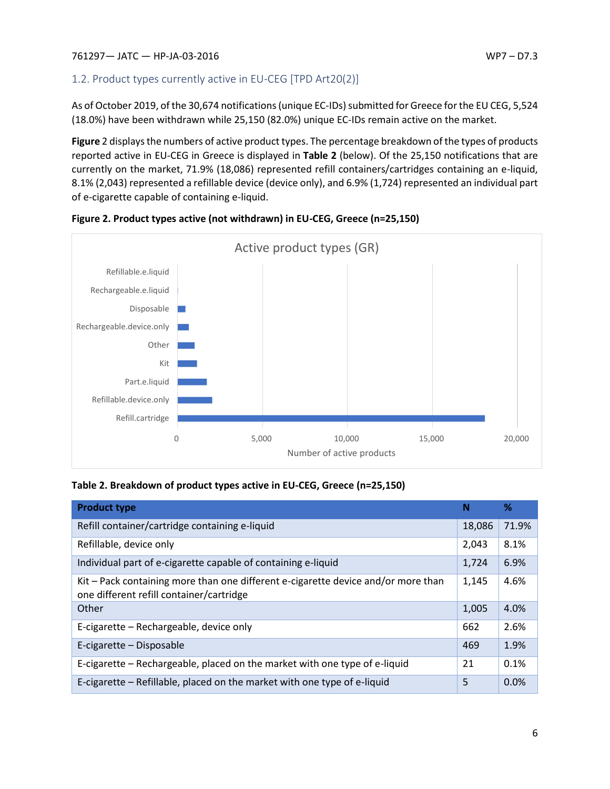# <span id="page-6-0"></span>1.2. Product types currently active in EU-CEG [TPD Art20(2)]

As of October 2019, of the 30,674 notifications (unique EC-IDs) submitted for Greece for the EU CEG, 5,524 (18.0%) have been withdrawn while 25,150 (82.0%) unique EC-IDs remain active on the market.

**Figure** 2 displays the numbers of active product types. The percentage breakdown of the types of products reported active in EU-CEG in Greece is displayed in **Table 2** (below). Of the 25,150 notifications that are currently on the market, 71.9% (18,086) represented refill containers/cartridges containing an e-liquid, 8.1% (2,043) represented a refillable device (device only), and 6.9% (1,724) represented an individual part of e-cigarette capable of containing e-liquid.





## **Table 2. Breakdown of product types active in EU-CEG, Greece (n=25,150)**

| <b>Product type</b>                                                                                                           | N      | %     |
|-------------------------------------------------------------------------------------------------------------------------------|--------|-------|
| Refill container/cartridge containing e-liquid                                                                                | 18,086 | 71.9% |
| Refillable, device only                                                                                                       | 2,043  | 8.1%  |
| Individual part of e-cigarette capable of containing e-liquid                                                                 | 1,724  | 6.9%  |
| Kit - Pack containing more than one different e-cigarette device and/or more than<br>one different refill container/cartridge | 1,145  | 4.6%  |
| Other                                                                                                                         | 1,005  | 4.0%  |
| E-cigarette - Rechargeable, device only                                                                                       | 662    | 2.6%  |
| E-cigarette – Disposable                                                                                                      | 469    | 1.9%  |
| E-cigarette – Rechargeable, placed on the market with one type of e-liquid                                                    | 21     | 0.1%  |
| E-cigarette – Refillable, placed on the market with one type of e-liquid                                                      | 5      | 0.0%  |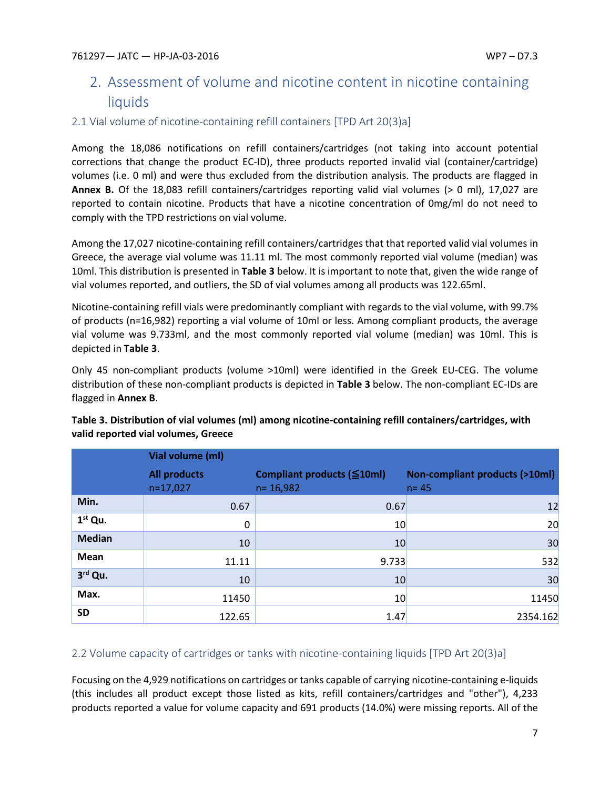# <span id="page-7-0"></span>2. Assessment of volume and nicotine content in nicotine containing liquids

## <span id="page-7-1"></span>2.1 Vial volume of nicotine-containing refill containers [TPD Art 20(3)a]

Among the 18,086 notifications on refill containers/cartridges (not taking into account potential corrections that change the product EC-ID), three products reported invalid vial (container/cartridge) volumes (i.e. 0 ml) and were thus excluded from the distribution analysis. The products are flagged in **Annex B.** Of the 18,083 refill containers/cartridges reporting valid vial volumes (> 0 ml), 17,027 are reported to contain nicotine. Products that have a nicotine concentration of 0mg/ml do not need to comply with the TPD restrictions on vial volume.

Among the 17,027 nicotine-containing refill containers/cartridges that that reported valid vial volumes in Greece, the average vial volume was 11.11 ml. The most commonly reported vial volume (median) was 10ml. This distribution is presented in **Table 3** below. It is important to note that, given the wide range of vial volumes reported, and outliers, the SD of vial volumes among all products was 122.65ml.

Nicotine-containing refill vials were predominantly compliant with regards to the vial volume, with 99.7% of products (n=16,982) reporting a vial volume of 10ml or less. Among compliant products, the average vial volume was 9.733ml, and the most commonly reported vial volume (median) was 10ml. This is depicted in **Table 3**.

Only 45 non-compliant products (volume >10ml) were identified in the Greek EU-CEG. The volume distribution of these non-compliant products is depicted in **Table 3** below. The non-compliant EC-IDs are flagged in **Annex B**.

|               | Vial volume (ml)                  |                                            |                                                      |
|---------------|-----------------------------------|--------------------------------------------|------------------------------------------------------|
|               | <b>All products</b><br>$n=17,027$ | Compliant products (≦10ml)<br>$n = 16,982$ | <b>Non-compliant products (&gt;10ml)</b><br>$n = 45$ |
| Min.          | 0.67                              | 0.67                                       | 12                                                   |
| $1st$ Qu.     | 0                                 | 10 <sub>l</sub>                            | 20                                                   |
| <b>Median</b> | 10                                | 10                                         | 30                                                   |
| Mean          | 11.11                             | 9.733                                      | 532                                                  |
| 3rd Qu.       | 10                                | 10                                         | 30                                                   |
| Max.          | 11450                             | 10 <sub>l</sub>                            | 11450                                                |
| <b>SD</b>     | 122.65                            | 1.47                                       | 2354.162                                             |

## **Table 3. Distribution of vial volumes (ml) among nicotine-containing refill containers/cartridges, with valid reported vial volumes, Greece**

# <span id="page-7-2"></span>2.2 Volume capacity of cartridges or tanks with nicotine-containing liquids [TPD Art 20(3)a]

Focusing on the 4,929 notifications on cartridges or tanks capable of carrying nicotine-containing e-liquids (this includes all product except those listed as kits, refill containers/cartridges and "other"), 4,233 products reported a value for volume capacity and 691 products (14.0%) were missing reports. All of the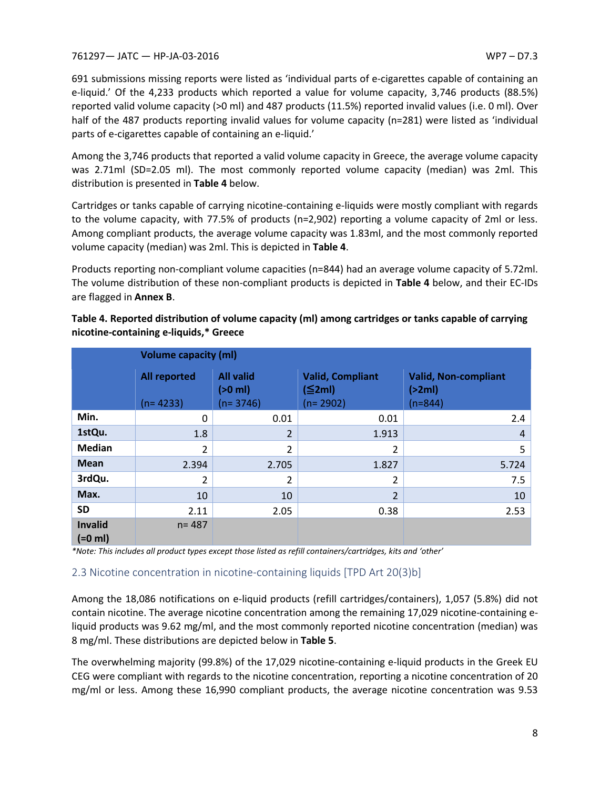691 submissions missing reports were listed as 'individual parts of e-cigarettes capable of containing an e-liquid.' Of the 4,233 products which reported a value for volume capacity, 3,746 products (88.5%) reported valid volume capacity (>0 ml) and 487 products (11.5%) reported invalid values (i.e. 0 ml). Over half of the 487 products reporting invalid values for volume capacity (n=281) were listed as 'individual parts of e-cigarettes capable of containing an e-liquid.'

Among the 3,746 products that reported a valid volume capacity in Greece, the average volume capacity was 2.71ml (SD=2.05 ml). The most commonly reported volume capacity (median) was 2ml. This distribution is presented in **Table 4** below.

Cartridges or tanks capable of carrying nicotine-containing e-liquids were mostly compliant with regards to the volume capacity, with 77.5% of products (n=2,902) reporting a volume capacity of 2ml or less. Among compliant products, the average volume capacity was 1.83ml, and the most commonly reported volume capacity (median) was 2ml. This is depicted in **Table 4**.

Products reporting non-compliant volume capacities (n=844) had an average volume capacity of 5.72ml. The volume distribution of these non-compliant products is depicted in **Table 4** below, and their EC-IDs are flagged in **Annex B**.

| <b>Volume capacity (ml)</b> |                                   |                                             |                                                       |                                                    |  |
|-----------------------------|-----------------------------------|---------------------------------------------|-------------------------------------------------------|----------------------------------------------------|--|
|                             | <b>All reported</b><br>$(n=4233)$ | <b>All valid</b><br>$(>0$ ml)<br>$(n=3746)$ | <b>Valid, Compliant</b><br>$(\leq 2ml)$<br>$(n=2902)$ | <b>Valid, Non-compliant</b><br>(>2ml)<br>$(n=844)$ |  |
| Min.                        | 0                                 | 0.01                                        | 0.01                                                  | 2.4                                                |  |
| 1stQu.                      | 1.8                               | 2                                           | 1.913                                                 | $\overline{4}$                                     |  |
| <b>Median</b>               | 2                                 | $\overline{2}$                              | 2                                                     | 5                                                  |  |
| <b>Mean</b>                 | 2.394                             | 2.705                                       | 1.827                                                 | 5.724                                              |  |
| 3rdQu.                      | 2                                 | $\overline{2}$                              | 2                                                     | 7.5                                                |  |
| Max.                        | 10                                | 10                                          | $\overline{2}$                                        | 10                                                 |  |
| <b>SD</b>                   | 2.11                              | 2.05                                        | 0.38                                                  | 2.53                                               |  |
| <b>Invalid</b><br>$(=0$ ml) | $n = 487$                         |                                             |                                                       |                                                    |  |

**Table 4. Reported distribution of volume capacity (ml) among cartridges or tanks capable of carrying nicotine-containing e-liquids,\* Greece**

*\*Note: This includes all product types except those listed as refill containers/cartridges, kits and 'other'*

## <span id="page-8-0"></span>2.3 Nicotine concentration in nicotine-containing liquids [TPD Art 20(3)b]

Among the 18,086 notifications on e-liquid products (refill cartridges/containers), 1,057 (5.8%) did not contain nicotine. The average nicotine concentration among the remaining 17,029 nicotine-containing eliquid products was 9.62 mg/ml, and the most commonly reported nicotine concentration (median) was 8 mg/ml. These distributions are depicted below in **Table 5**.

The overwhelming majority (99.8%) of the 17,029 nicotine-containing e-liquid products in the Greek EU CEG were compliant with regards to the nicotine concentration, reporting a nicotine concentration of 20 mg/ml or less. Among these 16,990 compliant products, the average nicotine concentration was 9.53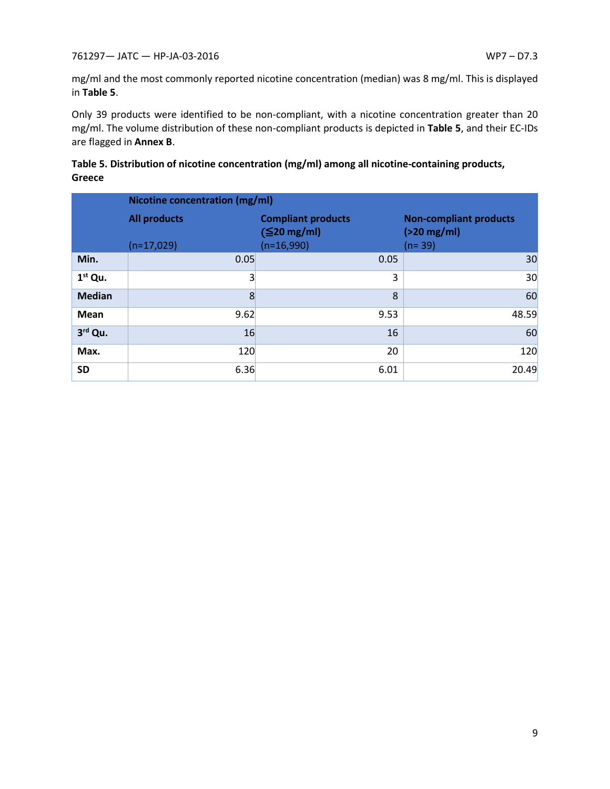mg/ml and the most commonly reported nicotine concentration (median) was 8 mg/ml. This is displayed in **Table 5**.

Only 39 products were identified to be non-compliant, with a nicotine concentration greater than 20 mg/ml. The volume distribution of these non-compliant products is depicted in **Table 5**, and their EC-IDs are flagged in **Annex B**.

| Table 5. Distribution of nicotine concentration (mg/ml) among all nicotine-containing products, |  |
|-------------------------------------------------------------------------------------------------|--|
| Greece                                                                                          |  |

|               | Nicotine concentration (mg/ml) |                                                |                                                |  |
|---------------|--------------------------------|------------------------------------------------|------------------------------------------------|--|
|               | <b>All products</b>            | <b>Compliant products</b><br>$(\leq 20$ mg/ml) | <b>Non-compliant products</b><br>$(>20$ mg/ml) |  |
|               | $(n=17,029)$                   | $(n=16,990)$                                   | $(n=39)$                                       |  |
| Min.          | 0.05                           | 0.05                                           | 30                                             |  |
| $1st$ Qu.     | $\vert 3 \vert$                | 3                                              | 30                                             |  |
| <b>Median</b> | 8                              | 8                                              | 60                                             |  |
| <b>Mean</b>   | 9.62                           | 9.53                                           | 48.59                                          |  |
| 3rd Qu.       | 16                             | 16                                             | 60                                             |  |
| Max.          | 120                            | 20                                             | 120                                            |  |
| <b>SD</b>     | 6.36                           | 6.01                                           | 20.49                                          |  |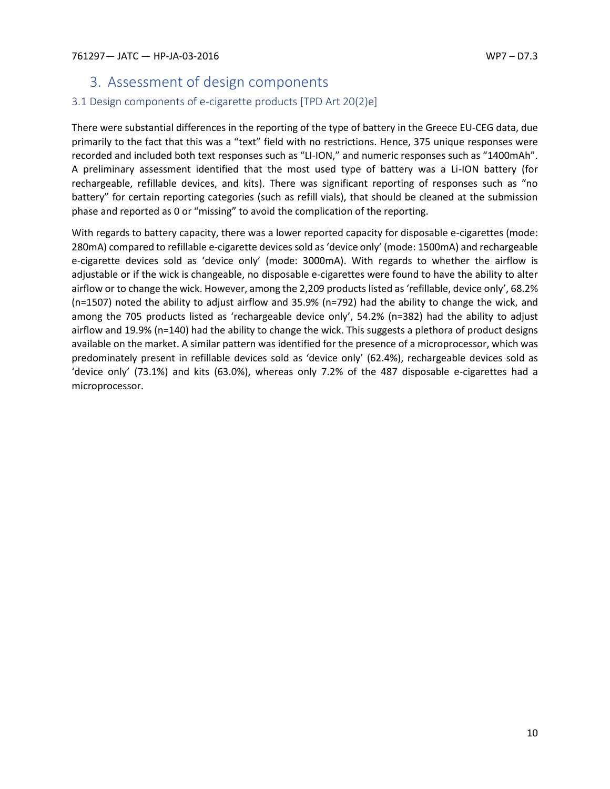# <span id="page-10-0"></span>3. Assessment of design components

# <span id="page-10-1"></span>3.1 Design components of e-cigarette products [TPD Art 20(2)e]

There were substantial differences in the reporting of the type of battery in the Greece EU-CEG data, due primarily to the fact that this was a "text" field with no restrictions. Hence, 375 unique responses were recorded and included both text responses such as "LI-ION," and numeric responses such as "1400mAh". A preliminary assessment identified that the most used type of battery was a Li-ION battery (for rechargeable, refillable devices, and kits). There was significant reporting of responses such as "no battery" for certain reporting categories (such as refill vials), that should be cleaned at the submission phase and reported as 0 or "missing" to avoid the complication of the reporting.

With regards to battery capacity, there was a lower reported capacity for disposable e-cigarettes (mode: 280mA) compared to refillable e-cigarette devices sold as 'device only' (mode: 1500mA) and rechargeable e-cigarette devices sold as 'device only' (mode: 3000mA). With regards to whether the airflow is adjustable or if the wick is changeable, no disposable e-cigarettes were found to have the ability to alter airflow or to change the wick. However, among the 2,209 products listed as 'refillable, device only', 68.2% (n=1507) noted the ability to adjust airflow and 35.9% (n=792) had the ability to change the wick, and among the 705 products listed as 'rechargeable device only', 54.2% (n=382) had the ability to adjust airflow and 19.9% (n=140) had the ability to change the wick. This suggests a plethora of product designs available on the market. A similar pattern was identified for the presence of a microprocessor, which was predominately present in refillable devices sold as 'device only' (62.4%), rechargeable devices sold as 'device only' (73.1%) and kits (63.0%), whereas only 7.2% of the 487 disposable e-cigarettes had a microprocessor.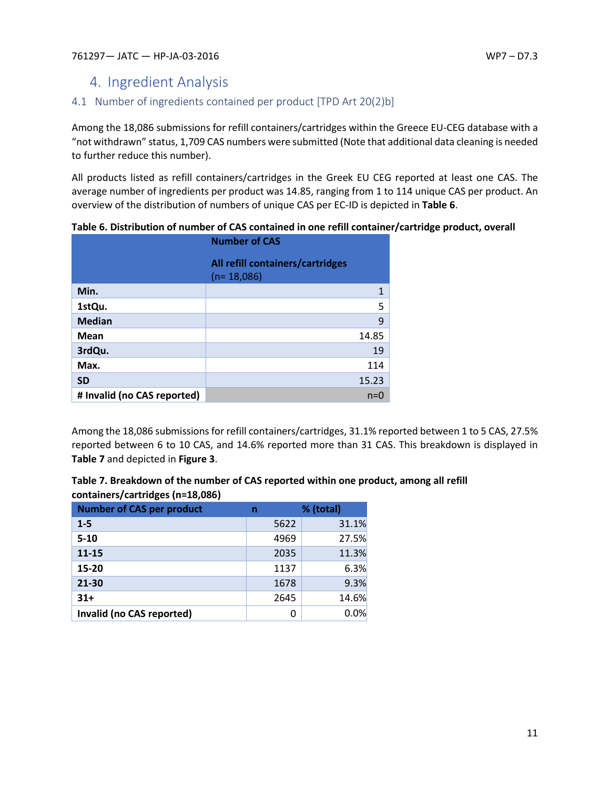# <span id="page-11-0"></span>4. Ingredient Analysis

# <span id="page-11-1"></span>4.1 Number of ingredients contained per product [TPD Art 20(2)b]

Among the 18,086 submissions for refill containers/cartridges within the Greece EU-CEG database with a "not withdrawn" status, 1,709 CAS numbers were submitted (Note that additional data cleaning is needed to further reduce this number).

All products listed as refill containers/cartridges in the Greek EU CEG reported at least one CAS. The average number of ingredients per product was 14.85, ranging from 1 to 114 unique CAS per product. An overview of the distribution of numbers of unique CAS per EC-ID is depicted in **Table 6**.

|                             | <b>Number of CAS</b>                             |
|-----------------------------|--------------------------------------------------|
|                             | All refill containers/cartridges<br>$(n=18,086)$ |
| Min.                        | 1                                                |
| 1stQu.                      | 5                                                |
| <b>Median</b>               | 9                                                |
| <b>Mean</b>                 | 14.85                                            |
| 3rdQu.                      | 19                                               |
| Max.                        | 114                                              |
| <b>SD</b>                   | 15.23                                            |
| # Invalid (no CAS reported) | $n=0$                                            |

**Table 6. Distribution of number of CAS contained in one refill container/cartridge product, overall** 

Among the 18,086 submissions for refill containers/cartridges, 31.1% reported between 1 to 5 CAS, 27.5% reported between 6 to 10 CAS, and 14.6% reported more than 31 CAS. This breakdown is displayed in **Table 7** and depicted in **Figure 3**.

| Table 7. Breakdown of the number of CAS reported within one product, among all refill |
|---------------------------------------------------------------------------------------|
| containers/cartridges (n=18,086)                                                      |

| <b>Number of CAS per product</b> | n    | % (total) |
|----------------------------------|------|-----------|
| $1 - 5$                          | 5622 | 31.1%     |
| $5 - 10$                         | 4969 | 27.5%     |
| $11 - 15$                        | 2035 | 11.3%     |
| 15-20                            | 1137 | 6.3%      |
| 21-30                            | 1678 | 9.3%      |
| $31+$                            | 2645 | 14.6%     |
| Invalid (no CAS reported)        | 0    | 0.0%      |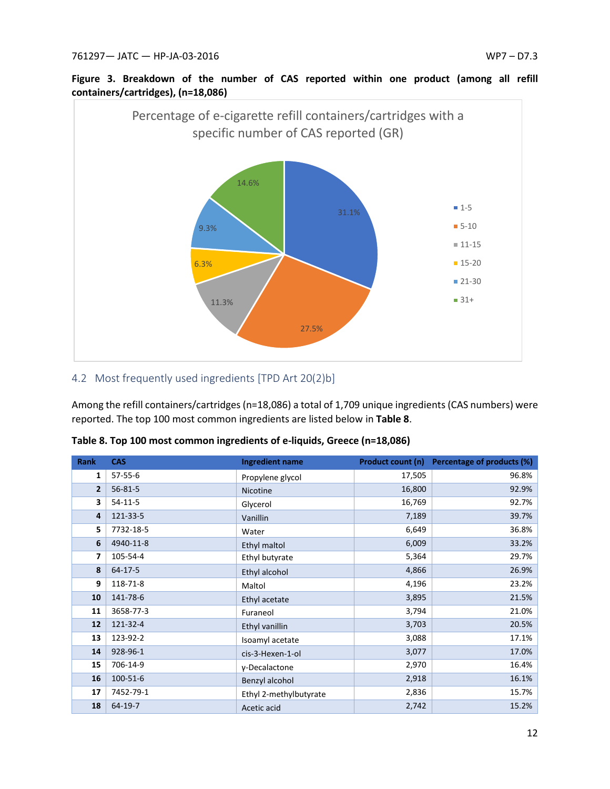

# **Figure 3. Breakdown of the number of CAS reported within one product (among all refill containers/cartridges), (n=18,086)**

## <span id="page-12-0"></span>4.2 Most frequently used ingredients [TPD Art 20(2)b]

Among the refill containers/cartridges(n=18,086) a total of 1,709 unique ingredients (CAS numbers) were reported. The top 100 most common ingredients are listed below in **Table 8**.

| <b>Rank</b>    | <b>CAS</b>    | <b>Ingredient name</b> | <b>Product count (n)</b> | Percentage of products (%) |
|----------------|---------------|------------------------|--------------------------|----------------------------|
| 1              | 57-55-6       | Propylene glycol       | 17,505                   | 96.8%                      |
| $\overline{2}$ | $56 - 81 - 5$ | Nicotine               | 16,800                   | 92.9%                      |
| 3              | $54-11-5$     | Glycerol               | 16,769                   | 92.7%                      |
| 4              | 121-33-5      | Vanillin               | 7,189                    | 39.7%                      |
| 5              | 7732-18-5     | Water                  | 6,649                    | 36.8%                      |
| 6              | 4940-11-8     | Ethyl maltol           | 6,009                    | 33.2%                      |
| 7              | 105-54-4      | Ethyl butyrate         | 5,364                    | 29.7%                      |
| 8              | $64 - 17 - 5$ | Ethyl alcohol          | 4,866                    | 26.9%                      |
| 9              | 118-71-8      | Maltol                 | 4,196                    | 23.2%                      |
| 10             | 141-78-6      | Ethyl acetate          | 3,895                    | 21.5%                      |
| 11             | 3658-77-3     | Furaneol               | 3,794                    | 21.0%                      |
| 12             | 121-32-4      | Ethyl vanillin         | 3,703                    | 20.5%                      |
| 13             | 123-92-2      | Isoamyl acetate        | 3,088                    | 17.1%                      |
| 14             | 928-96-1      | cis-3-Hexen-1-ol       | 3,077                    | 17.0%                      |
| 15             | 706-14-9      | γ-Decalactone          | 2,970                    | 16.4%                      |
| 16             | 100-51-6      | Benzyl alcohol         | 2,918                    | 16.1%                      |
| 17             | 7452-79-1     | Ethyl 2-methylbutyrate | 2,836                    | 15.7%                      |
| 18             | 64-19-7       | Acetic acid            | 2,742                    | 15.2%                      |

|  |  | Table 8. Top 100 most common ingredients of e-liquids, Greece (n=18,086) |  |  |  |  |
|--|--|--------------------------------------------------------------------------|--|--|--|--|
|--|--|--------------------------------------------------------------------------|--|--|--|--|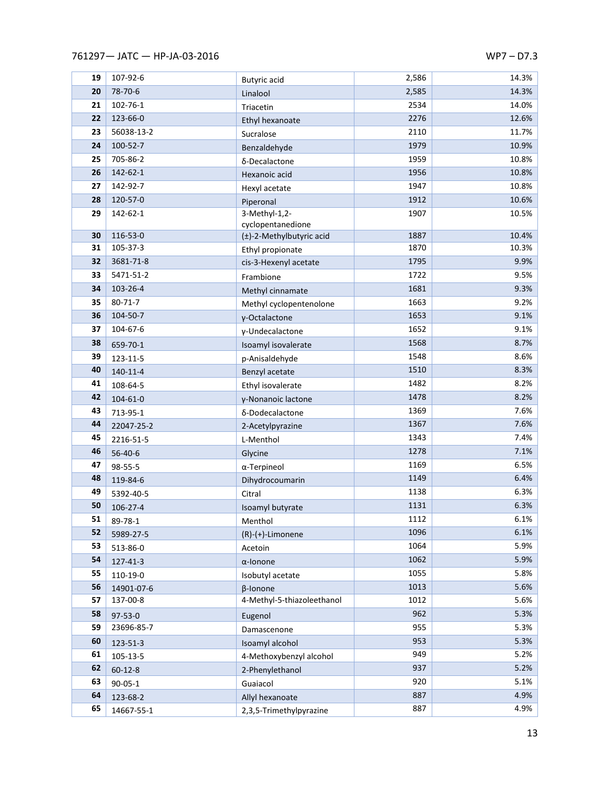| 19       | 107-92-6                    | Butyric acid                           | 2,586        | 14.3%        |
|----------|-----------------------------|----------------------------------------|--------------|--------------|
| 20       | 78-70-6                     | Linalool                               | 2,585        | 14.3%        |
| 21       | 102-76-1                    | Triacetin                              | 2534         | 14.0%        |
| 22       | 123-66-0                    | Ethyl hexanoate                        | 2276         | 12.6%        |
| 23       | 56038-13-2                  | Sucralose                              | 2110         | 11.7%        |
| 24       | 100-52-7                    | Benzaldehyde                           | 1979         | 10.9%        |
| 25       | 705-86-2                    | δ-Decalactone                          | 1959         | 10.8%        |
| 26       | 142-62-1                    | Hexanoic acid                          | 1956         | 10.8%        |
| 27       | 142-92-7                    | Hexyl acetate                          | 1947         | 10.8%        |
| 28       | 120-57-0                    | Piperonal                              | 1912         | 10.6%        |
| 29       | 142-62-1                    | 3-Methyl-1,2-                          | 1907         | 10.5%        |
|          |                             | cyclopentanedione                      |              |              |
| 30       | 116-53-0                    | (±)-2-Methylbutyric acid               | 1887         | 10.4%        |
| 31       | 105-37-3                    | Ethyl propionate                       | 1870         | 10.3%        |
| 32       | 3681-71-8                   | cis-3-Hexenyl acetate                  | 1795         | 9.9%         |
| 33       | 5471-51-2                   | Frambione                              | 1722         | 9.5%         |
| 34       | 103-26-4                    | Methyl cinnamate                       | 1681         | 9.3%         |
| 35       | $80 - 71 - 7$               | Methyl cyclopentenolone                | 1663         | 9.2%         |
| 36       | 104-50-7                    | γ-Octalactone                          | 1653         | 9.1%         |
| 37       | 104-67-6                    | γ-Undecalactone                        | 1652         | 9.1%         |
| 38       | 659-70-1                    | Isoamyl isovalerate                    | 1568         | 8.7%         |
| 39       | 123-11-5                    | p-Anisaldehyde                         | 1548         | 8.6%         |
| 40       | $140 - 11 - 4$              | Benzyl acetate                         | 1510         | 8.3%         |
| 41       | 108-64-5                    | Ethyl isovalerate                      | 1482         | 8.2%         |
| 42       | 104-61-0                    | γ-Nonanoic lactone                     | 1478         | 8.2%         |
| 43       | 713-95-1                    | δ-Dodecalactone                        | 1369         | 7.6%         |
| 44       | 22047-25-2                  | 2-Acetylpyrazine                       | 1367         | 7.6%         |
| 45       | 2216-51-5                   | L-Menthol                              | 1343         | 7.4%         |
| 46       | 56-40-6                     | Glycine                                | 1278         | 7.1%         |
| 47       | 98-55-5                     | $\alpha$ -Terpineol                    | 1169         | 6.5%         |
| 48<br>49 | 119-84-6                    | Dihydrocoumarin                        | 1149         | 6.4%<br>6.3% |
| 50       | 5392-40-5                   | Citral                                 | 1138<br>1131 | 6.3%         |
| 51       | 106-27-4                    | Isoamyl butyrate                       | 1112         | 6.1%         |
| 52       | 89-78-1                     | Menthol                                |              | 6.1%         |
| 53       | 5989-27-5                   | $(R)-(+)$ -Limonene                    | 1096<br>1064 | 5.9%         |
| 54       | 513-86-0                    | Acetoin                                | 1062         | 5.9%         |
| 55       | 127-41-3                    | $\alpha$ -lonone                       | 1055         | 5.8%         |
| 56       | 110-19-0                    | Isobutyl acetate                       | 1013         | 5.6%         |
| 57       | 14901-07-6<br>137-00-8      | β-Ionone<br>4-Methyl-5-thiazoleethanol | 1012         | 5.6%         |
| 58       |                             |                                        | 962          | 5.3%         |
| 59       | $97 - 53 - 0$<br>23696-85-7 | Eugenol                                | 955          | 5.3%         |
| 60       |                             | Damascenone                            | 953          | 5.3%         |
| 61       | 123-51-3                    | Isoamyl alcohol                        | 949          | 5.2%         |
| 62       | 105-13-5                    | 4-Methoxybenzyl alcohol                | 937          | 5.2%         |
| 63       | $60 - 12 - 8$               | 2-Phenylethanol                        | 920          | 5.1%         |
| 64       | $90 - 05 - 1$               | Guaiacol                               | 887          | 4.9%         |
| 65       | 123-68-2                    | Allyl hexanoate                        | 887          | 4.9%         |
|          | 14667-55-1                  | 2,3,5-Trimethylpyrazine                |              |              |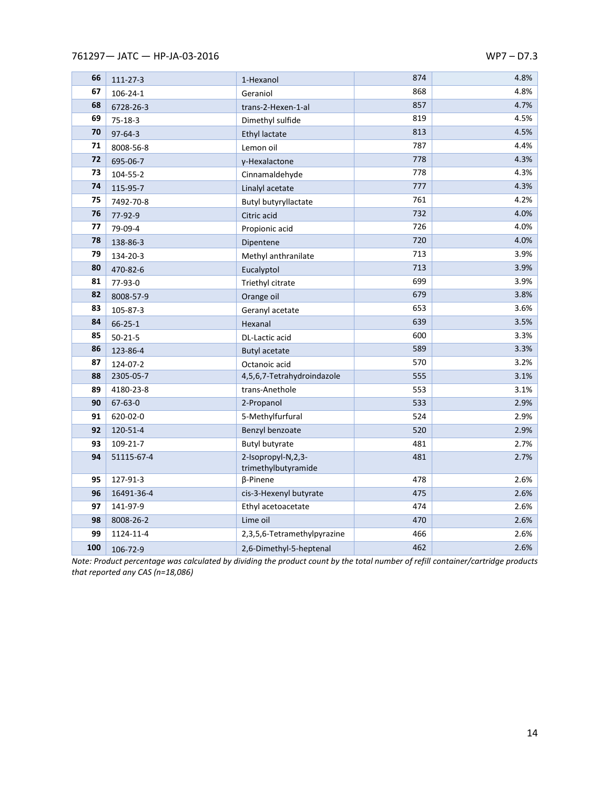| 66  | 111-27-3       | 1-Hexanol                                 | 874 | 4.8% |
|-----|----------------|-------------------------------------------|-----|------|
| 67  | $106 - 24 - 1$ | Geraniol                                  | 868 | 4.8% |
| 68  | 6728-26-3      | trans-2-Hexen-1-al                        | 857 | 4.7% |
| 69  | $75 - 18 - 3$  | Dimethyl sulfide                          | 819 | 4.5% |
| 70  | 97-64-3        | <b>Ethyl lactate</b>                      | 813 | 4.5% |
| 71  | 8008-56-8      | Lemon oil                                 | 787 | 4.4% |
| 72  | 695-06-7       | γ-Hexalactone                             | 778 | 4.3% |
| 73  | 104-55-2       | Cinnamaldehyde                            | 778 | 4.3% |
| 74  | 115-95-7       | Linalyl acetate                           | 777 | 4.3% |
| 75  | 7492-70-8      | Butyl butyryllactate                      | 761 | 4.2% |
| 76  | 77-92-9        | Citric acid                               | 732 | 4.0% |
| 77  | 79-09-4        | Propionic acid                            | 726 | 4.0% |
| 78  | 138-86-3       | Dipentene                                 | 720 | 4.0% |
| 79  | 134-20-3       | Methyl anthranilate                       | 713 | 3.9% |
| 80  | 470-82-6       | Eucalyptol                                | 713 | 3.9% |
| 81  | 77-93-0        | Triethyl citrate                          | 699 | 3.9% |
| 82  | 8008-57-9      | Orange oil                                | 679 | 3.8% |
| 83  | 105-87-3       | Geranyl acetate                           | 653 | 3.6% |
| 84  | $66 - 25 - 1$  | Hexanal                                   | 639 | 3.5% |
| 85  | $50 - 21 - 5$  | DL-Lactic acid                            | 600 | 3.3% |
| 86  | 123-86-4       | <b>Butyl acetate</b>                      | 589 | 3.3% |
| 87  | 124-07-2       | Octanoic acid                             | 570 | 3.2% |
| 88  | 2305-05-7      | 4,5,6,7-Tetrahydroindazole                | 555 | 3.1% |
| 89  | 4180-23-8      | trans-Anethole                            | 553 | 3.1% |
| 90  | 67-63-0        | 2-Propanol                                | 533 | 2.9% |
| 91  | 620-02-0       | 5-Methylfurfural                          | 524 | 2.9% |
| 92  | 120-51-4       | Benzyl benzoate                           | 520 | 2.9% |
| 93  | 109-21-7       | <b>Butyl butyrate</b>                     | 481 | 2.7% |
| 94  | 51115-67-4     | 2-Isopropyl-N,2,3-<br>trimethylbutyramide | 481 | 2.7% |
| 95  | 127-91-3       | β-Pinene                                  | 478 | 2.6% |
| 96  | 16491-36-4     | cis-3-Hexenyl butyrate                    | 475 | 2.6% |
| 97  | 141-97-9       | Ethyl acetoacetate                        | 474 | 2.6% |
| 98  | 8008-26-2      | Lime oil                                  | 470 | 2.6% |
| 99  | 1124-11-4      | 2,3,5,6-Tetramethylpyrazine               | 466 | 2.6% |
| 100 | 106-72-9       | 2,6-Dimethyl-5-heptenal                   | 462 | 2.6% |

*Note: Product percentage was calculated by dividing the product count by the total number of refill container/cartridge products that reported any CAS (n=18,086)*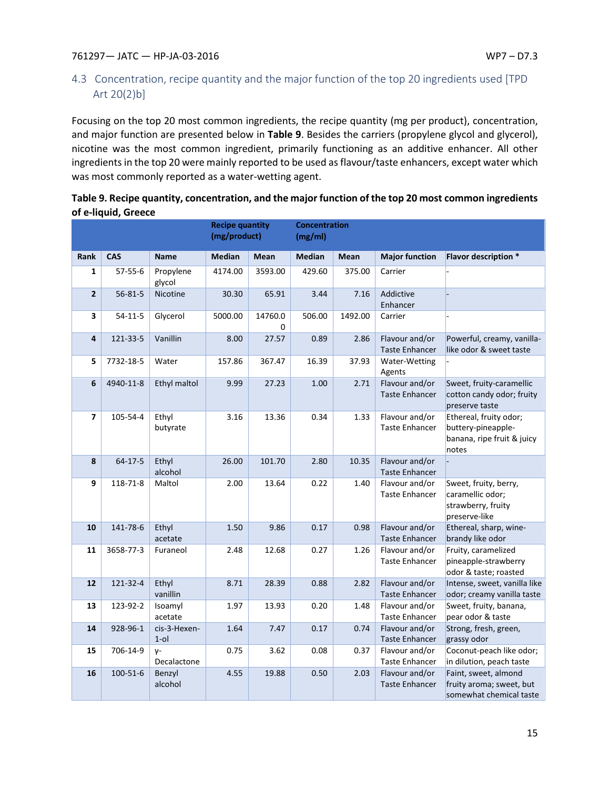# <span id="page-15-0"></span>4.3 Concentration, recipe quantity and the major function of the top 20 ingredients used [TPD Art 20(2)b]

Focusing on the top 20 most common ingredients, the recipe quantity (mg per product), concentration, and major function are presented below in **Table 9**. Besides the carriers (propylene glycol and glycerol), nicotine was the most common ingredient, primarily functioning as an additive enhancer. All other ingredients in the top 20 were mainly reported to be used as flavour/taste enhancers, except water which was most commonly reported as a water-wetting agent.

| Table 9. Recipe quantity, concentration, and the major function of the top 20 most common ingredients |
|-------------------------------------------------------------------------------------------------------|
| of e-liquid, Greece                                                                                   |

|                |               |                         | <b>Recipe quantity</b><br>(mg/product) |              | <b>Concentration</b><br>(mg/ml) |         |                                         |                                                                                     |
|----------------|---------------|-------------------------|----------------------------------------|--------------|---------------------------------|---------|-----------------------------------------|-------------------------------------------------------------------------------------|
| Rank           | <b>CAS</b>    | <b>Name</b>             | <b>Median</b>                          | Mean         | <b>Median</b>                   | Mean    | <b>Major function</b>                   | Flavor description *                                                                |
| $\mathbf{1}$   | $57 - 55 - 6$ | Propylene<br>glycol     | 4174.00                                | 3593.00      | 429.60                          | 375.00  | Carrier                                 |                                                                                     |
| $\overline{2}$ | $56 - 81 - 5$ | Nicotine                | 30.30                                  | 65.91        | 3.44                            | 7.16    | Addictive<br>Enhancer                   |                                                                                     |
| 3              | $54-11-5$     | Glycerol                | 5000.00                                | 14760.0<br>0 | 506.00                          | 1492.00 | Carrier                                 |                                                                                     |
| 4              | 121-33-5      | Vanillin                | 8.00                                   | 27.57        | 0.89                            | 2.86    | Flavour and/or<br><b>Taste Enhancer</b> | Powerful, creamy, vanilla-<br>like odor & sweet taste                               |
| 5              | 7732-18-5     | Water                   | 157.86                                 | 367.47       | 16.39                           | 37.93   | Water-Wetting<br>Agents                 |                                                                                     |
| 6              | 4940-11-8     | Ethyl maltol            | 9.99                                   | 27.23        | 1.00                            | 2.71    | Flavour and/or<br><b>Taste Enhancer</b> | Sweet, fruity-caramellic<br>cotton candy odor; fruity<br>preserve taste             |
| 7              | 105-54-4      | Ethyl<br>butyrate       | 3.16                                   | 13.36        | 0.34                            | 1.33    | Flavour and/or<br><b>Taste Enhancer</b> | Ethereal, fruity odor;<br>buttery-pineapple-<br>banana, ripe fruit & juicy<br>notes |
| 8              | $64 - 17 - 5$ | Ethyl<br>alcohol        | 26.00                                  | 101.70       | 2.80                            | 10.35   | Flavour and/or<br><b>Taste Enhancer</b> |                                                                                     |
| 9              | 118-71-8      | Maltol                  | 2.00                                   | 13.64        | 0.22                            | 1.40    | Flavour and/or<br><b>Taste Enhancer</b> | Sweet, fruity, berry,<br>caramellic odor;<br>strawberry, fruity<br>preserve-like    |
| 10             | 141-78-6      | Ethyl<br>acetate        | 1.50                                   | 9.86         | 0.17                            | 0.98    | Flavour and/or<br><b>Taste Enhancer</b> | Ethereal, sharp, wine-<br>brandy like odor                                          |
| 11             | 3658-77-3     | Furaneol                | 2.48                                   | 12.68        | 0.27                            | 1.26    | Flavour and/or<br><b>Taste Enhancer</b> | Fruity, caramelized<br>pineapple-strawberry<br>odor & taste; roasted                |
| 12             | 121-32-4      | Ethyl<br>vanillin       | 8.71                                   | 28.39        | 0.88                            | 2.82    | Flavour and/or<br><b>Taste Enhancer</b> | Intense, sweet, vanilla like<br>odor; creamy vanilla taste                          |
| 13             | 123-92-2      | Isoamyl<br>acetate      | 1.97                                   | 13.93        | 0.20                            | 1.48    | Flavour and/or<br><b>Taste Enhancer</b> | Sweet, fruity, banana,<br>pear odor & taste                                         |
| 14             | 928-96-1      | cis-3-Hexen-<br>$1$ -ol | 1.64                                   | 7.47         | 0.17                            | 0.74    | Flavour and/or<br><b>Taste Enhancer</b> | Strong, fresh, green,<br>grassy odor                                                |
| 15             | 706-14-9      | $V^-$<br>Decalactone    | 0.75                                   | 3.62         | 0.08                            | 0.37    | Flavour and/or<br><b>Taste Enhancer</b> | Coconut-peach like odor;<br>in dilution, peach taste                                |
| 16             | 100-51-6      | Benzyl<br>alcohol       | 4.55                                   | 19.88        | 0.50                            | 2.03    | Flavour and/or<br><b>Taste Enhancer</b> | Faint, sweet, almond<br>fruity aroma; sweet, but<br>somewhat chemical taste         |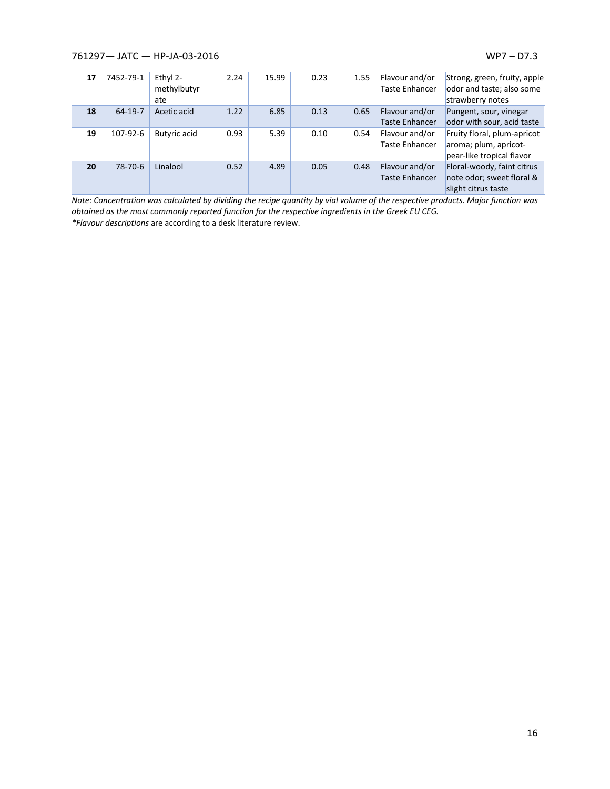| 17 | 7452-79-1 | Ethyl $2-$<br>methylbutyr<br>ate | 2.24 | 15.99 | 0.23 | 1.55 | Flavour and/or<br><b>Taste Enhancer</b> | Strong, green, fruity, apple<br>odor and taste; also some<br>strawberry notes       |
|----|-----------|----------------------------------|------|-------|------|------|-----------------------------------------|-------------------------------------------------------------------------------------|
| 18 | $64-19-7$ | Acetic acid                      | 1.22 | 6.85  | 0.13 | 0.65 | Flavour and/or<br><b>Taste Enhancer</b> | Pungent, sour, vinegar<br>odor with sour, acid taste                                |
| 19 | 107-92-6  | <b>Butyric acid</b>              | 0.93 | 5.39  | 0.10 | 0.54 | Flavour and/or<br><b>Taste Enhancer</b> | Fruity floral, plum-apricot  <br>aroma; plum, apricot-<br>pear-like tropical flavor |
| 20 | 78-70-6   | Linalool                         | 0.52 | 4.89  | 0.05 | 0.48 | Flavour and/or<br><b>Taste Enhancer</b> | Floral-woody, faint citrus<br>note odor; sweet floral &<br>slight citrus taste      |

*Note: Concentration was calculated by dividing the recipe quantity by vial volume of the respective products. Major function was obtained as the most commonly reported function for the respective ingredients in the Greek EU CEG. \*Flavour descriptions* are according to a desk literature review.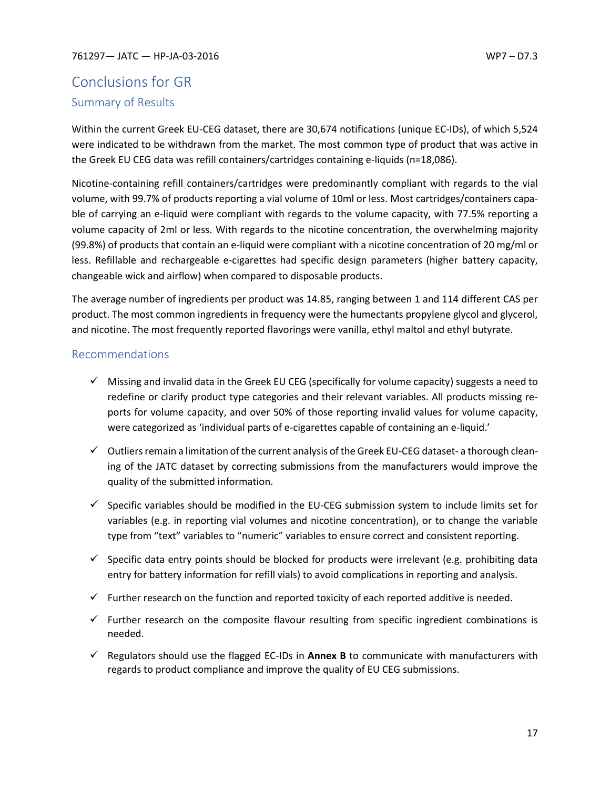# <span id="page-17-1"></span><span id="page-17-0"></span>Conclusions for GR Summary of Results

Within the current Greek EU-CEG dataset, there are 30,674 notifications (unique EC-IDs), of which 5,524 were indicated to be withdrawn from the market. The most common type of product that was active in the Greek EU CEG data was refill containers/cartridges containing e-liquids (n=18,086).

Nicotine-containing refill containers/cartridges were predominantly compliant with regards to the vial volume, with 99.7% of products reporting a vial volume of 10ml or less. Most cartridges/containers capable of carrying an e-liquid were compliant with regards to the volume capacity, with 77.5% reporting a volume capacity of 2ml or less. With regards to the nicotine concentration, the overwhelming majority (99.8%) of products that contain an e-liquid were compliant with a nicotine concentration of 20 mg/ml or less. Refillable and rechargeable e-cigarettes had specific design parameters (higher battery capacity, changeable wick and airflow) when compared to disposable products.

The average number of ingredients per product was 14.85, ranging between 1 and 114 different CAS per product. The most common ingredients in frequency were the humectants propylene glycol and glycerol, and nicotine. The most frequently reported flavorings were vanilla, ethyl maltol and ethyl butyrate.

## <span id="page-17-2"></span>Recommendations

- $\checkmark$  Missing and invalid data in the Greek EU CEG (specifically for volume capacity) suggests a need to redefine or clarify product type categories and their relevant variables. All products missing reports for volume capacity, and over 50% of those reporting invalid values for volume capacity, were categorized as 'individual parts of e-cigarettes capable of containing an e-liquid.'
- ✓ Outliers remain a limitation of the current analysis of the Greek EU-CEG dataset- a thorough cleaning of the JATC dataset by correcting submissions from the manufacturers would improve the quality of the submitted information.
- $\checkmark$  Specific variables should be modified in the EU-CEG submission system to include limits set for variables (e.g. in reporting vial volumes and nicotine concentration), or to change the variable type from "text" variables to "numeric" variables to ensure correct and consistent reporting.
- $\checkmark$  Specific data entry points should be blocked for products were irrelevant (e.g. prohibiting data entry for battery information for refill vials) to avoid complications in reporting and analysis.
- $\checkmark$  Further research on the function and reported toxicity of each reported additive is needed.
- $\checkmark$  Further research on the composite flavour resulting from specific ingredient combinations is needed.
- ✓ Regulators should use the flagged EC-IDs in **Annex B** to communicate with manufacturers with regards to product compliance and improve the quality of EU CEG submissions.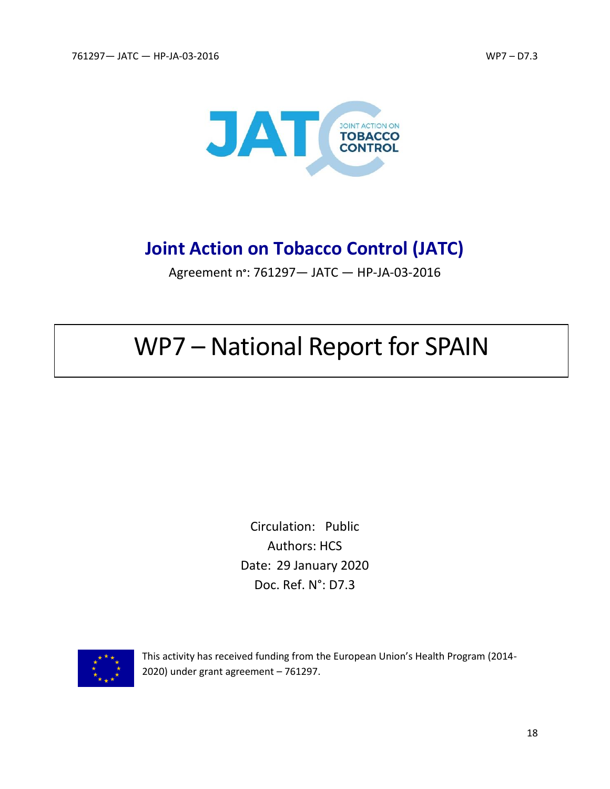

# **Joint Action on Tobacco Control (JATC)**

Agreement n**°**: 761297— JATC — HP-JA-03-2016

# WP7 – National Report for SPAIN

Circulation: Public Authors: HCS Date: 29 January 2020 Doc. Ref. N°: D7.3



This activity has received funding from the European Union's Health Program (2014- 2020) under grant agreement – 761297.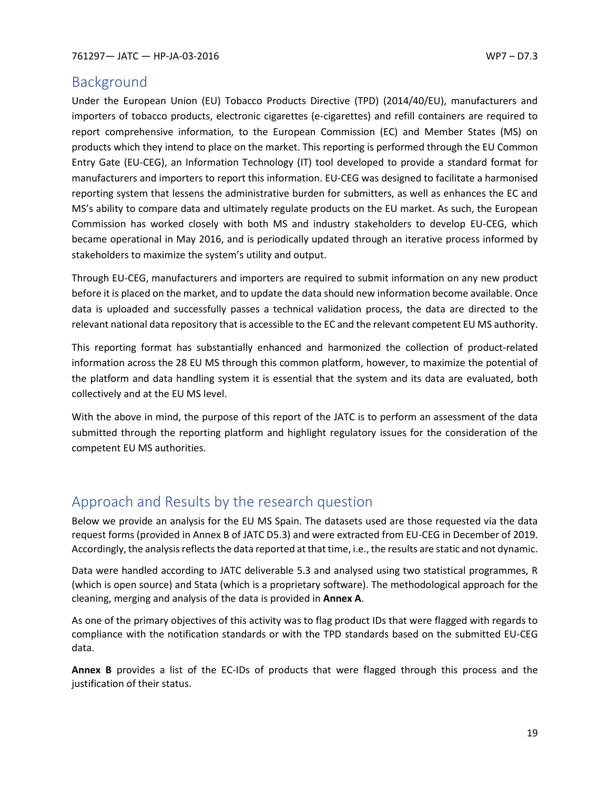# <span id="page-19-0"></span>Background

Under the European Union (EU) Tobacco Products Directive (TPD) (2014/40/EU), manufacturers and importers of tobacco products, electronic cigarettes (e-cigarettes) and refill containers are required to report comprehensive information, to the European Commission (EC) and Member States (MS) on products which they intend to place on the market. This reporting is performed through the EU Common Entry Gate (EU-CEG), an Information Technology (IT) tool developed to provide a standard format for manufacturers and importers to report this information. EU-CEG was designed to facilitate a harmonised reporting system that lessens the administrative burden for submitters, as well as enhances the EC and MS's ability to compare data and ultimately regulate products on the EU market. As such, the European Commission has worked closely with both MS and industry stakeholders to develop EU-CEG, which became operational in May 2016, and is periodically updated through an iterative process informed by stakeholders to maximize the system's utility and output.

Through EU-CEG, manufacturers and importers are required to submit information on any new product before it is placed on the market, and to update the data should new information become available. Once data is uploaded and successfully passes a technical validation process, the data are directed to the relevant national data repository that is accessible to the EC and the relevant competent EU MS authority.

This reporting format has substantially enhanced and harmonized the collection of product-related information across the 28 EU MS through this common platform, however, to maximize the potential of the platform and data handling system it is essential that the system and its data are evaluated, both collectively and at the EU MS level.

With the above in mind, the purpose of this report of the JATC is to perform an assessment of the data submitted through the reporting platform and highlight regulatory issues for the consideration of the competent EU MS authorities.

# <span id="page-19-1"></span>Approach and Results by the research question

Below we provide an analysis for the EU MS Spain. The datasets used are those requested via the data request forms (provided in Annex B of JATC D5.3) and were extracted from EU-CEG in December of 2019. Accordingly, the analysis reflects the data reported at that time, i.e., the results are static and not dynamic.

Data were handled according to JATC deliverable 5.3 and analysed using two statistical programmes, R (which is open source) and Stata (which is a proprietary software). The methodological approach for the cleaning, merging and analysis of the data is provided in **Annex A**.

As one of the primary objectives of this activity was to flag product IDs that were flagged with regards to compliance with the notification standards or with the TPD standards based on the submitted EU-CEG data.

**Annex B** provides a list of the EC-IDs of products that were flagged through this process and the justification of their status.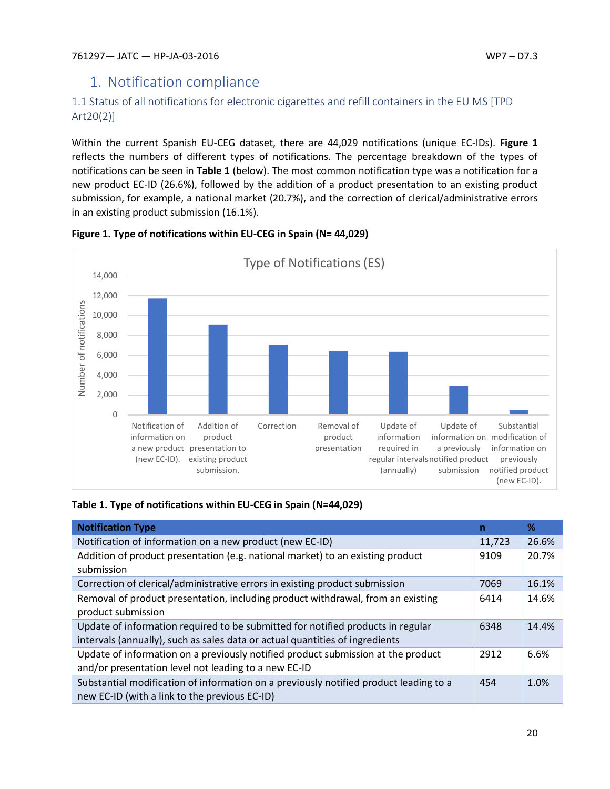# <span id="page-20-0"></span>1. Notification compliance

# <span id="page-20-1"></span>1.1 Status of all notifications for electronic cigarettes and refill containers in the EU MS [TPD Art20(2)]

Within the current Spanish EU-CEG dataset, there are 44,029 notifications (unique EC-IDs). **Figure 1** reflects the numbers of different types of notifications. The percentage breakdown of the types of notifications can be seen in **Table 1** (below). The most common notification type was a notification for a new product EC-ID (26.6%), followed by the addition of a product presentation to an existing product submission, for example, a national market (20.7%), and the correction of clerical/administrative errors in an existing product submission (16.1%).



#### **Figure 1. Type of notifications within EU-CEG in Spain (N= 44,029)**

## **Table 1. Type of notifications within EU-CEG in Spain (N=44,029)**

| <b>Notification Type</b>                                                              | n      | ℅     |
|---------------------------------------------------------------------------------------|--------|-------|
| Notification of information on a new product (new EC-ID)                              | 11,723 | 26.6% |
| Addition of product presentation (e.g. national market) to an existing product        | 9109   | 20.7% |
| submission                                                                            |        |       |
| Correction of clerical/administrative errors in existing product submission           | 7069   | 16.1% |
| Removal of product presentation, including product withdrawal, from an existing       | 6414   | 14.6% |
| product submission                                                                    |        |       |
| Update of information required to be submitted for notified products in regular       | 6348   | 14.4% |
| intervals (annually), such as sales data or actual quantities of ingredients          |        |       |
| Update of information on a previously notified product submission at the product      | 2912   | 6.6%  |
| and/or presentation level not leading to a new EC-ID                                  |        |       |
| Substantial modification of information on a previously notified product leading to a | 454    | 1.0%  |
| new EC-ID (with a link to the previous EC-ID)                                         |        |       |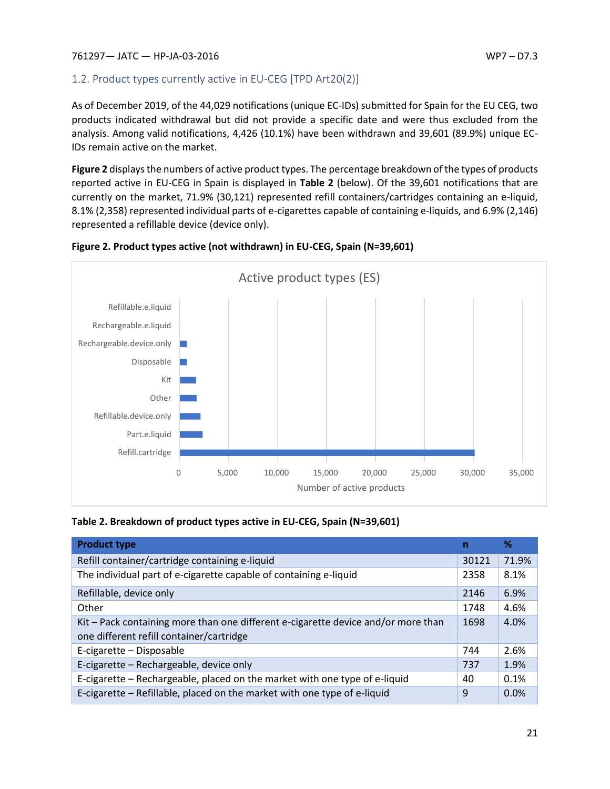# <span id="page-21-0"></span>1.2. Product types currently active in EU-CEG [TPD Art20(2)]

As of December 2019, of the 44,029 notifications (unique EC-IDs) submitted for Spain for the EU CEG, two products indicated withdrawal but did not provide a specific date and were thus excluded from the analysis. Among valid notifications, 4,426 (10.1%) have been withdrawn and 39,601 (89.9%) unique EC-IDs remain active on the market.

**Figure 2** displays the numbers of active product types. The percentage breakdown of the types of products reported active in EU-CEG in Spain is displayed in **Table 2** (below). Of the 39,601 notifications that are currently on the market, 71.9% (30,121) represented refill containers/cartridges containing an e-liquid, 8.1% (2,358) represented individual parts of e-cigarettes capable of containing e-liquids, and 6.9% (2,146) represented a refillable device (device only).



**Figure 2. Product types active (not withdrawn) in EU-CEG, Spain (N=39,601)**

| Table 2. Breakdown of product types active in EU-CEG, Spain (N=39,601) |
|------------------------------------------------------------------------|
|------------------------------------------------------------------------|

| <b>Product type</b>                                                                                                           | n     | ℅     |
|-------------------------------------------------------------------------------------------------------------------------------|-------|-------|
| Refill container/cartridge containing e-liquid                                                                                | 30121 | 71.9% |
| The individual part of e-cigarette capable of containing e-liquid                                                             | 2358  | 8.1%  |
| Refillable, device only                                                                                                       | 2146  | 6.9%  |
| Other                                                                                                                         | 1748  | 4.6%  |
| Kit - Pack containing more than one different e-cigarette device and/or more than<br>one different refill container/cartridge | 1698  | 4.0%  |
| E-cigarette - Disposable                                                                                                      | 744   | 2.6%  |
| E-cigarette - Rechargeable, device only                                                                                       | 737   | 1.9%  |
| E-cigarette – Rechargeable, placed on the market with one type of e-liquid                                                    | 40    | 0.1%  |
| E-cigarette – Refillable, placed on the market with one type of e-liquid                                                      | 9     | 0.0%  |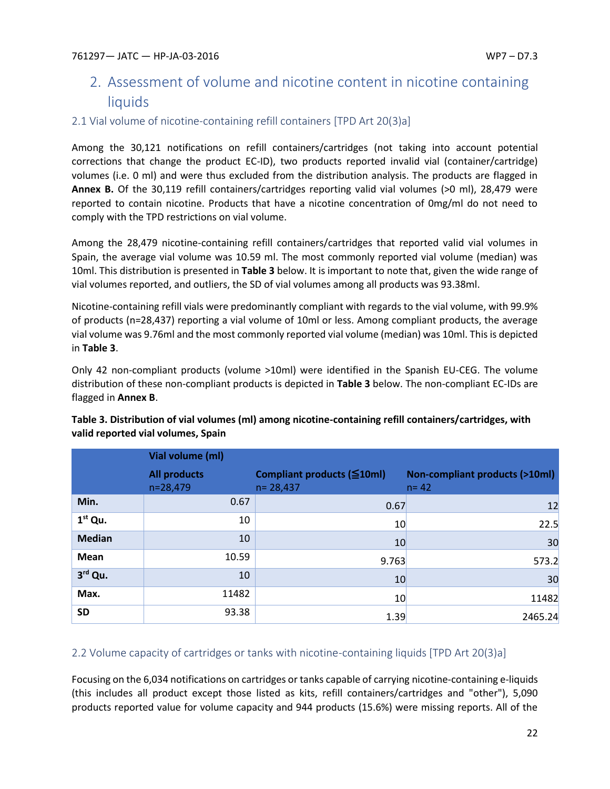# <span id="page-22-0"></span>2. Assessment of volume and nicotine content in nicotine containing liquids

## <span id="page-22-1"></span>2.1 Vial volume of nicotine-containing refill containers [TPD Art 20(3)a]

Among the 30,121 notifications on refill containers/cartridges (not taking into account potential corrections that change the product EC-ID), two products reported invalid vial (container/cartridge) volumes (i.e. 0 ml) and were thus excluded from the distribution analysis. The products are flagged in **Annex B.** Of the 30,119 refill containers/cartridges reporting valid vial volumes (>0 ml), 28,479 were reported to contain nicotine. Products that have a nicotine concentration of 0mg/ml do not need to comply with the TPD restrictions on vial volume.

Among the 28,479 nicotine-containing refill containers/cartridges that reported valid vial volumes in Spain, the average vial volume was 10.59 ml. The most commonly reported vial volume (median) was 10ml. This distribution is presented in **Table 3** below. It is important to note that, given the wide range of vial volumes reported, and outliers, the SD of vial volumes among all products was 93.38ml.

Nicotine-containing refill vials were predominantly compliant with regards to the vial volume, with 99.9% of products (n=28,437) reporting a vial volume of 10ml or less. Among compliant products, the average vial volume was 9.76ml and the most commonly reported vial volume (median) was 10ml. This is depicted in **Table 3**.

Only 42 non-compliant products (volume >10ml) were identified in the Spanish EU-CEG. The volume distribution of these non-compliant products is depicted in **Table 3** below. The non-compliant EC-IDs are flagged in **Annex B**.

|               | Vial volume (ml)                  |                                                   |                                                      |
|---------------|-----------------------------------|---------------------------------------------------|------------------------------------------------------|
|               | <b>All products</b><br>$n=28,479$ | Compliant products $(\leq 10$ ml)<br>$n = 28,437$ | <b>Non-compliant products (&gt;10ml)</b><br>$n = 42$ |
| Min.          | 0.67                              | 0.67                                              | 12                                                   |
| $1st$ Qu.     | 10                                | 10                                                | 22.5                                                 |
| <b>Median</b> | 10                                | 10                                                | 30                                                   |
| Mean          | 10.59                             | 9.763                                             | 573.2                                                |
| 3rd Qu.       | 10                                | 10                                                | 30                                                   |
| Max.          | 11482                             | 10                                                | 11482                                                |
| <b>SD</b>     | 93.38                             | 1.39                                              | 2465.24                                              |

# **Table 3. Distribution of vial volumes (ml) among nicotine-containing refill containers/cartridges, with valid reported vial volumes, Spain**

# <span id="page-22-2"></span>2.2 Volume capacity of cartridges or tanks with nicotine-containing liquids [TPD Art 20(3)a]

Focusing on the 6,034 notifications on cartridges or tanks capable of carrying nicotine-containing e-liquids (this includes all product except those listed as kits, refill containers/cartridges and "other"), 5,090 products reported value for volume capacity and 944 products (15.6%) were missing reports. All of the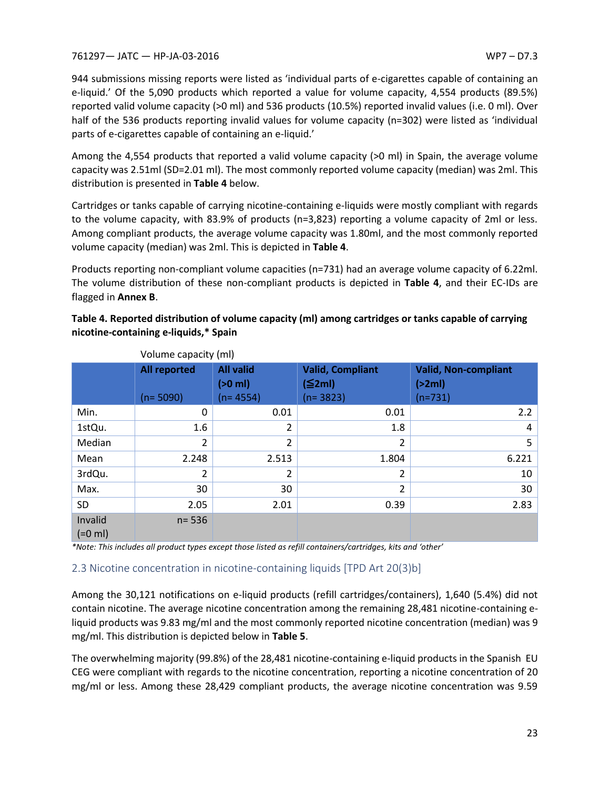944 submissions missing reports were listed as 'individual parts of e-cigarettes capable of containing an e-liquid.' Of the 5,090 products which reported a value for volume capacity, 4,554 products (89.5%) reported valid volume capacity (>0 ml) and 536 products (10.5%) reported invalid values (i.e. 0 ml). Over half of the 536 products reporting invalid values for volume capacity (n=302) were listed as 'individual parts of e-cigarettes capable of containing an e-liquid.'

Among the 4,554 products that reported a valid volume capacity (>0 ml) in Spain, the average volume capacity was 2.51ml (SD=2.01 ml). The most commonly reported volume capacity (median) was 2ml. This distribution is presented in **Table 4** below.

Cartridges or tanks capable of carrying nicotine-containing e-liquids were mostly compliant with regards to the volume capacity, with 83.9% of products (n=3,823) reporting a volume capacity of 2ml or less. Among compliant products, the average volume capacity was 1.80ml, and the most commonly reported volume capacity (median) was 2ml. This is depicted in **Table 4**.

Products reporting non-compliant volume capacities (n=731) had an average volume capacity of 6.22ml. The volume distribution of these non-compliant products is depicted in **Table 4**, and their EC-IDs are flagged in **Annex B**.

**Table 4. Reported distribution of volume capacity (ml) among cartridges or tanks capable of carrying nicotine-containing e-liquids,\* Spain** 

|                      | volume capacity (mi) |                               |                                   |                                       |
|----------------------|----------------------|-------------------------------|-----------------------------------|---------------------------------------|
|                      | <b>All reported</b>  | <b>All valid</b><br>$(>0$ ml) | <b>Valid, Compliant</b><br>(≦2ml) | <b>Valid, Non-compliant</b><br>(>2ml) |
|                      | $(n=5090)$           | $(n=4554)$                    | $(n=3823)$                        | $(n=731)$                             |
| Min.                 | $\Omega$             | 0.01                          | 0.01                              | 2.2                                   |
| 1stQu.               | 1.6                  | $\overline{2}$                | 1.8                               | 4                                     |
| Median               | 2                    | $\overline{2}$                | 2                                 | 5                                     |
| Mean                 | 2.248                | 2.513                         | 1.804                             | 6.221                                 |
| 3rdQu.               | 2                    | $\overline{2}$                | 2                                 | 10                                    |
| Max.                 | 30                   | 30                            | $\overline{2}$                    | 30                                    |
| <b>SD</b>            | 2.05                 | 2.01                          | 0.39                              | 2.83                                  |
| Invalid<br>$(=0$ ml) | $n = 536$            |                               |                                   |                                       |

Volume capacity (ml)

*\*Note: This includes all product types except those listed as refill containers/cartridges, kits and 'other'*

## <span id="page-23-0"></span>2.3 Nicotine concentration in nicotine-containing liquids [TPD Art 20(3)b]

Among the 30,121 notifications on e-liquid products (refill cartridges/containers), 1,640 (5.4%) did not contain nicotine. The average nicotine concentration among the remaining 28,481 nicotine-containing eliquid products was 9.83 mg/ml and the most commonly reported nicotine concentration (median) was 9 mg/ml. This distribution is depicted below in **Table 5**.

The overwhelming majority (99.8%) of the 28,481 nicotine-containing e-liquid products in the Spanish EU CEG were compliant with regards to the nicotine concentration, reporting a nicotine concentration of 20 mg/ml or less. Among these 28,429 compliant products, the average nicotine concentration was 9.59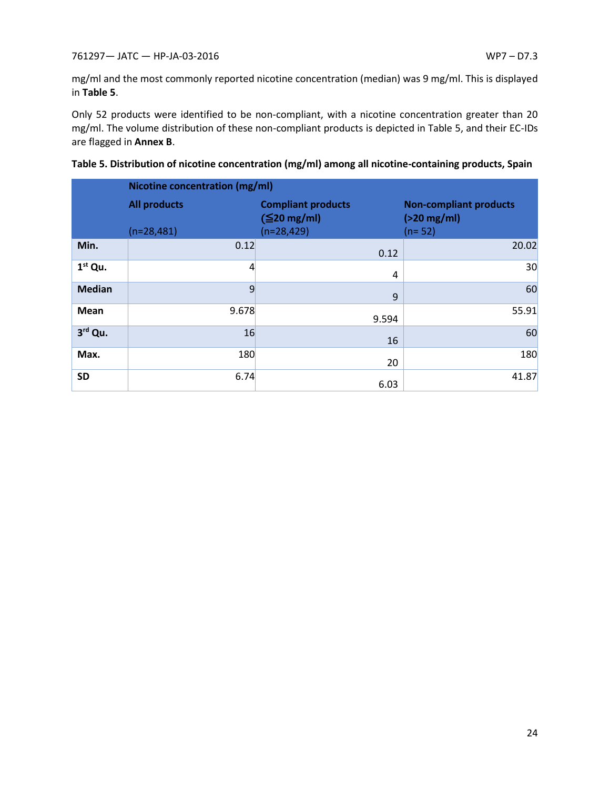mg/ml and the most commonly reported nicotine concentration (median) was 9 mg/ml. This is displayed in **Table 5**.

Only 52 products were identified to be non-compliant, with a nicotine concentration greater than 20 mg/ml. The volume distribution of these non-compliant products is depicted in Table 5, and their EC-IDs are flagged in **Annex B**.

|               | Nicotine concentration (mg/ml) |                                                |                                                |
|---------------|--------------------------------|------------------------------------------------|------------------------------------------------|
|               | <b>All products</b>            | <b>Compliant products</b><br>$(\leq 20$ mg/ml) | <b>Non-compliant products</b><br>$(>20$ mg/ml) |
|               | $(n=28,481)$                   | $(n=28, 429)$                                  | $(n=52)$                                       |
| Min.          | 0.12                           | 0.12                                           | 20.02                                          |
| $1st$ Qu.     | $\overline{4}$                 | 4                                              | 30                                             |
| <b>Median</b> | 9                              | 9                                              | 60                                             |
| Mean          | 9.678                          | 9.594                                          | 55.91                                          |
| 3rd Qu.       | 16                             | 16                                             | 60                                             |
| Max.          | 180                            | 20                                             | 180                                            |
| <b>SD</b>     | 6.74                           | 6.03                                           | 41.87                                          |

| Table 5. Distribution of nicotine concentration (mg/ml) among all nicotine-containing products, Spain |  |
|-------------------------------------------------------------------------------------------------------|--|
|-------------------------------------------------------------------------------------------------------|--|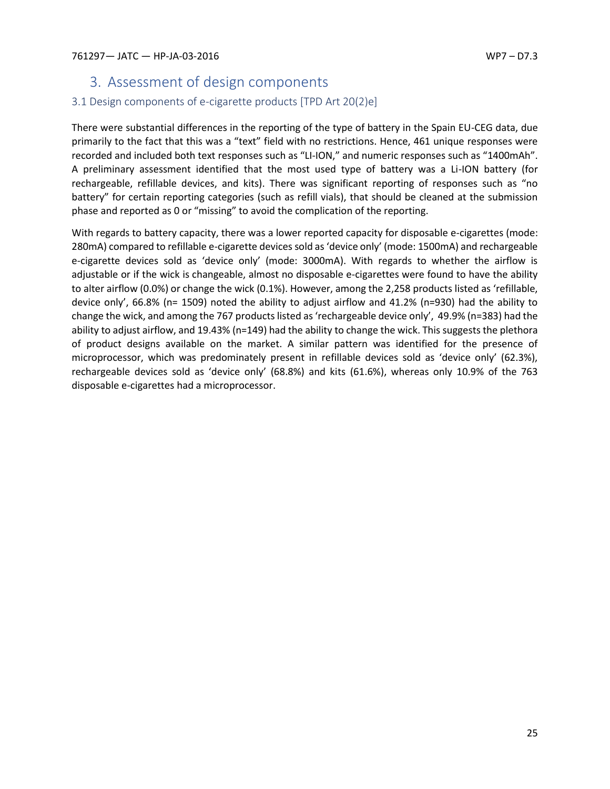# <span id="page-25-0"></span>3. Assessment of design components

# <span id="page-25-1"></span>3.1 Design components of e-cigarette products [TPD Art 20(2)e]

There were substantial differences in the reporting of the type of battery in the Spain EU-CEG data, due primarily to the fact that this was a "text" field with no restrictions. Hence, 461 unique responses were recorded and included both text responses such as "LI-ION," and numeric responses such as "1400mAh". A preliminary assessment identified that the most used type of battery was a Li-ION battery (for rechargeable, refillable devices, and kits). There was significant reporting of responses such as "no battery" for certain reporting categories (such as refill vials), that should be cleaned at the submission phase and reported as 0 or "missing" to avoid the complication of the reporting.

With regards to battery capacity, there was a lower reported capacity for disposable e-cigarettes (mode: 280mA) compared to refillable e-cigarette devices sold as 'device only' (mode: 1500mA) and rechargeable e-cigarette devices sold as 'device only' (mode: 3000mA). With regards to whether the airflow is adjustable or if the wick is changeable, almost no disposable e-cigarettes were found to have the ability to alter airflow (0.0%) or change the wick (0.1%). However, among the 2,258 products listed as 'refillable, device only', 66.8% (n= 1509) noted the ability to adjust airflow and 41.2% (n=930) had the ability to change the wick, and among the 767 products listed as 'rechargeable device only', 49.9% (n=383) had the ability to adjust airflow, and 19.43% (n=149) had the ability to change the wick. This suggests the plethora of product designs available on the market. A similar pattern was identified for the presence of microprocessor, which was predominately present in refillable devices sold as 'device only' (62.3%), rechargeable devices sold as 'device only' (68.8%) and kits (61.6%), whereas only 10.9% of the 763 disposable e-cigarettes had a microprocessor.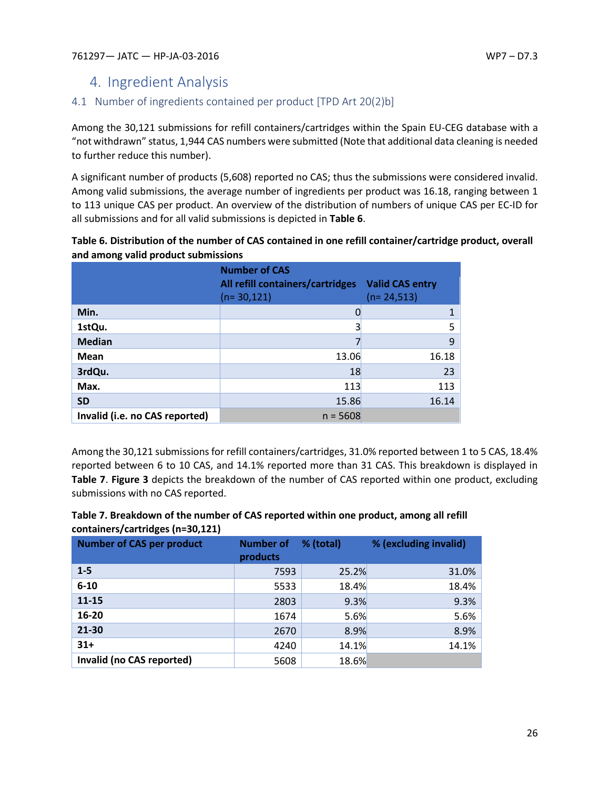# <span id="page-26-0"></span>4. Ingredient Analysis

# <span id="page-26-1"></span>4.1 Number of ingredients contained per product [TPD Art 20(2)b]

Among the 30,121 submissions for refill containers/cartridges within the Spain EU-CEG database with a "not withdrawn" status, 1,944 CAS numbers were submitted (Note that additional data cleaning is needed to further reduce this number).

A significant number of products (5,608) reported no CAS; thus the submissions were considered invalid. Among valid submissions, the average number of ingredients per product was 16.18, ranging between 1 to 113 unique CAS per product. An overview of the distribution of numbers of unique CAS per EC-ID for all submissions and for all valid submissions is depicted in **Table 6**.

| Table 6. Distribution of the number of CAS contained in one refill container/cartridge product, overall |  |
|---------------------------------------------------------------------------------------------------------|--|
| and among valid product submissions                                                                     |  |

|                                | <b>Number of CAS</b><br>All refill containers/cartridges<br>$(n=30,121)$ | <b>Valid CAS entry</b><br>$(n=24,513)$ |
|--------------------------------|--------------------------------------------------------------------------|----------------------------------------|
| Min.                           | 0                                                                        | 1                                      |
| 1stQu.                         | 3                                                                        | 5                                      |
| <b>Median</b>                  |                                                                          | 9                                      |
| Mean                           | 13.06                                                                    | 16.18                                  |
| 3rdQu.                         | 18                                                                       | 23                                     |
| Max.                           | 113                                                                      | 113                                    |
| <b>SD</b>                      | 15.86                                                                    | 16.14                                  |
| Invalid (i.e. no CAS reported) | $n = 5608$                                                               |                                        |

Among the 30,121 submissions for refill containers/cartridges, 31.0% reported between 1 to 5 CAS, 18.4% reported between 6 to 10 CAS, and 14.1% reported more than 31 CAS. This breakdown is displayed in **Table 7**. **Figure 3** depicts the breakdown of the number of CAS reported within one product, excluding submissions with no CAS reported.

| Table 7. Breakdown of the number of CAS reported within one product, among all refill |
|---------------------------------------------------------------------------------------|
| containers/cartridges (n=30,121)                                                      |

| <b>Number of CAS per product</b> | <b>Number of</b><br>products | % (total) | % (excluding invalid) |
|----------------------------------|------------------------------|-----------|-----------------------|
| $1 - 5$                          | 7593                         | 25.2%     | 31.0%                 |
| $6 - 10$                         | 5533                         | 18.4%     | 18.4%                 |
| $11 - 15$                        | 2803                         | 9.3%      | 9.3%                  |
| 16-20                            | 1674                         | 5.6%      | 5.6%                  |
| 21-30                            | 2670                         | 8.9%      | 8.9%                  |
| $31+$                            | 4240                         | 14.1%     | 14.1%                 |
| Invalid (no CAS reported)        | 5608                         | 18.6%     |                       |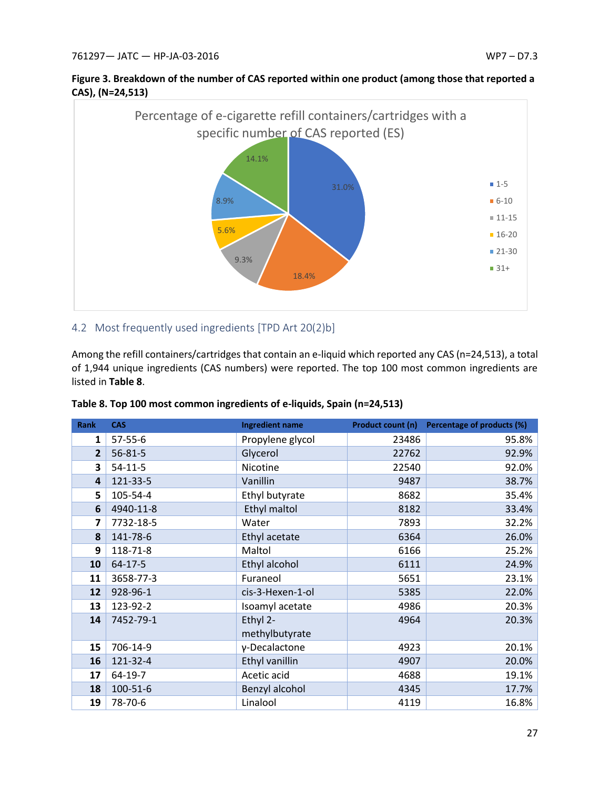



### <span id="page-27-0"></span>4.2 Most frequently used ingredients [TPD Art 20(2)b]

Among the refill containers/cartridges that contain an e-liquid which reported any CAS (n=24,513), a total of 1,944 unique ingredients (CAS numbers) were reported. The top 100 most common ingredients are listed in **Table 8**.

| <b>Rank</b>             | <b>CAS</b>    | <b>Ingredient name</b> |       | Product count (n) Percentage of products (%) |
|-------------------------|---------------|------------------------|-------|----------------------------------------------|
| $\mathbf{1}$            | $57 - 55 - 6$ | Propylene glycol       | 23486 | 95.8%                                        |
| 2                       | $56 - 81 - 5$ | Glycerol               | 22762 | 92.9%                                        |
| 3                       | $54-11-5$     | Nicotine               | 22540 | 92.0%                                        |
| $\overline{\mathbf{4}}$ | 121-33-5      | Vanillin               | 9487  | 38.7%                                        |
| 5                       | 105-54-4      | Ethyl butyrate         | 8682  | 35.4%                                        |
| 6                       | 4940-11-8     | Ethyl maltol           | 8182  | 33.4%                                        |
| $\overline{\mathbf{z}}$ | 7732-18-5     | Water                  | 7893  | 32.2%                                        |
| 8                       | 141-78-6      | Ethyl acetate          | 6364  | 26.0%                                        |
| 9                       | 118-71-8      | Maltol                 | 6166  | 25.2%                                        |
| 10                      | 64-17-5       | Ethyl alcohol          | 6111  | 24.9%                                        |
| 11                      | 3658-77-3     | Furaneol               | 5651  | 23.1%                                        |
| 12                      | 928-96-1      | cis-3-Hexen-1-ol       | 5385  | 22.0%                                        |
| 13                      | 123-92-2      | Isoamyl acetate        | 4986  | 20.3%                                        |
| 14                      | 7452-79-1     | Ethyl 2-               | 4964  | 20.3%                                        |
|                         |               | methylbutyrate         |       |                                              |
| 15                      | 706-14-9      | γ-Decalactone          | 4923  | 20.1%                                        |
| 16                      | 121-32-4      | Ethyl vanillin         | 4907  | 20.0%                                        |
| 17                      | 64-19-7       | Acetic acid            | 4688  | 19.1%                                        |
| 18                      | 100-51-6      | Benzyl alcohol         | 4345  | 17.7%                                        |
| 19                      | 78-70-6       | Linalool               | 4119  | 16.8%                                        |

| Table 8. Top 100 most common ingredients of e-liquids, Spain (n=24,513) |  |  |  |
|-------------------------------------------------------------------------|--|--|--|
|-------------------------------------------------------------------------|--|--|--|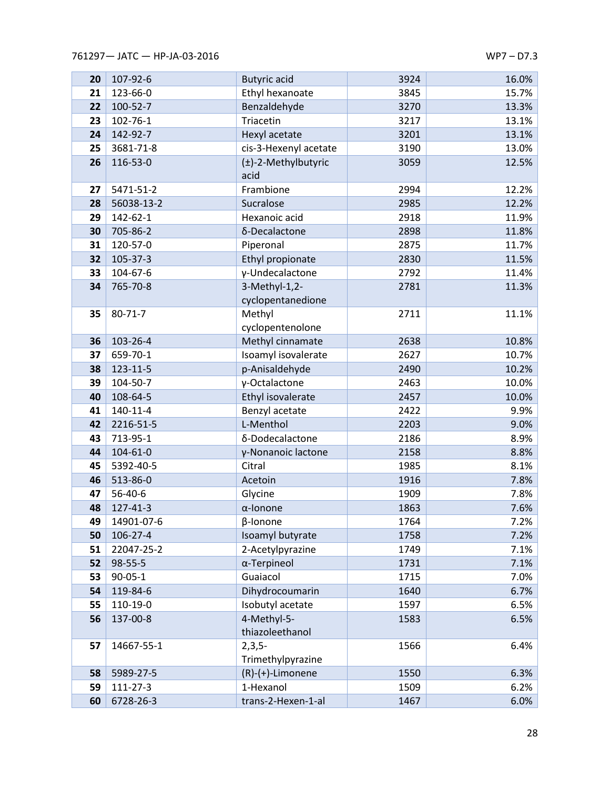| 20 | 107-92-6       | <b>Butyric</b> acid                | 3924         | 16.0% |
|----|----------------|------------------------------------|--------------|-------|
| 21 | 123-66-0       | Ethyl hexanoate                    | 3845         | 15.7% |
| 22 | 100-52-7       | Benzaldehyde                       | 3270         | 13.3% |
| 23 | 102-76-1       | Triacetin                          | 3217         | 13.1% |
| 24 | 142-92-7       | Hexyl acetate                      | 3201         | 13.1% |
| 25 | 3681-71-8      | cis-3-Hexenyl acetate              | 3190         | 13.0% |
| 26 | 116-53-0       | (±)-2-Methylbutyric<br>acid        | 3059         | 12.5% |
| 27 | 5471-51-2      | Frambione                          | 2994         | 12.2% |
| 28 | 56038-13-2     | Sucralose                          | 2985         | 12.2% |
| 29 | 142-62-1       | Hexanoic acid                      | 2918         | 11.9% |
| 30 | 705-86-2       | δ-Decalactone                      | 2898         | 11.8% |
| 31 | 120-57-0       | Piperonal                          | 2875         | 11.7% |
| 32 | 105-37-3       | Ethyl propionate                   | 2830         | 11.5% |
| 33 | 104-67-6       | γ-Undecalactone                    | 2792         | 11.4% |
| 34 | 765-70-8       | 3-Methyl-1,2-<br>cyclopentanedione | 2781         | 11.3% |
| 35 | $80 - 71 - 7$  | Methyl<br>cyclopentenolone         | 2711         | 11.1% |
| 36 | 103-26-4       | Methyl cinnamate                   | 2638         | 10.8% |
| 37 | 659-70-1       | Isoamyl isovalerate                | 2627         | 10.7% |
| 38 | 123-11-5       | p-Anisaldehyde                     | 2490         | 10.2% |
| 39 | 104-50-7       | γ-Octalactone                      | 2463         | 10.0% |
| 40 | 108-64-5       | Ethyl isovalerate                  | 2457         | 10.0% |
| 41 | 140-11-4       | Benzyl acetate                     | 2422         | 9.9%  |
| 42 | 2216-51-5      | L-Menthol                          | 2203         | 9.0%  |
| 43 | 713-95-1       | δ-Dodecalactone                    | 2186         | 8.9%  |
| 44 | $104 - 61 - 0$ | γ-Nonanoic lactone                 | 2158         | 8.8%  |
| 45 | 5392-40-5      | Citral                             | 1985         | 8.1%  |
| 46 | 513-86-0       | Acetoin                            | 1916         | 7.8%  |
| 47 | 56-40-6        | Glycine                            | 1909         | 7.8%  |
| 48 | 127-41-3       | $\alpha$ -lonone                   | 1863         | 7.6%  |
| 49 | 14901-07-6     | β-Ionone                           | 1764         | 7.2%  |
| 50 | 106-27-4       | Isoamyl butyrate                   | 1758         | 7.2%  |
| 51 | 22047-25-2     | 2-Acetylpyrazine                   | 1749         | 7.1%  |
| 52 | 98-55-5        | α-Terpineol                        | 1731         | 7.1%  |
| 53 | $90 - 05 - 1$  | Guaiacol                           | 1715         | 7.0%  |
| 54 | 119-84-6       | Dihydrocoumarin                    | 1640<br>1597 | 6.7%  |
| 55 | 110-19-0       | Isobutyl acetate                   |              | 6.5%  |
| 56 | 137-00-8       | 4-Methyl-5-<br>thiazoleethanol     | 1583         | 6.5%  |
| 57 | 14667-55-1     | $2,3,5-$<br>Trimethylpyrazine      | 1566         | 6.4%  |
| 58 | 5989-27-5      | $(R)-(+)$ -Limonene                | 1550         | 6.3%  |
| 59 | 111-27-3       | 1-Hexanol                          | 1509         | 6.2%  |
| 60 | 6728-26-3      | trans-2-Hexen-1-al                 | 1467         | 6.0%  |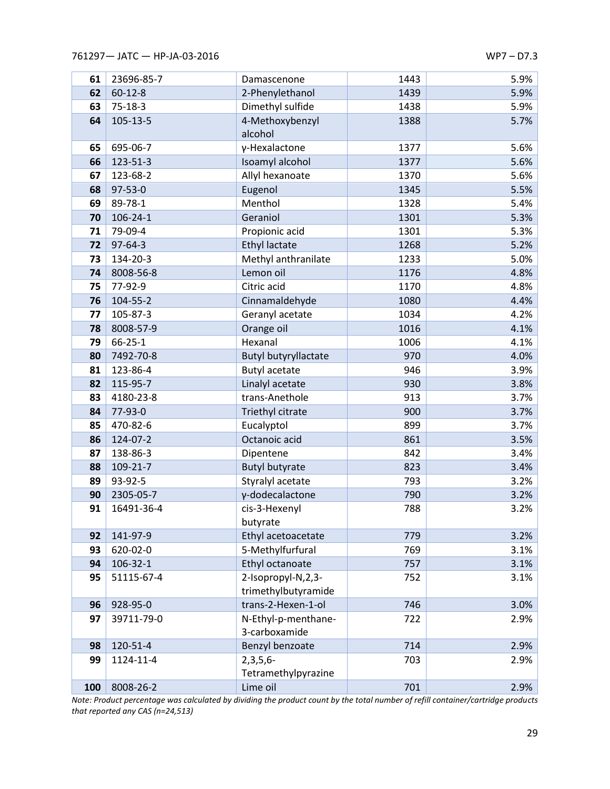| 61  | 23696-85-7     | Damascenone                 | 1443 | 5.9% |
|-----|----------------|-----------------------------|------|------|
| 62  | $60 - 12 - 8$  | 2-Phenylethanol             | 1439 | 5.9% |
| 63  | $75-18-3$      | Dimethyl sulfide            | 1438 | 5.9% |
| 64  | 105-13-5       | 4-Methoxybenzyl             | 1388 | 5.7% |
|     |                | alcohol                     |      |      |
| 65  | 695-06-7       | γ-Hexalactone               | 1377 | 5.6% |
| 66  | 123-51-3       | Isoamyl alcohol             | 1377 | 5.6% |
| 67  | 123-68-2       | Allyl hexanoate             | 1370 | 5.6% |
| 68  | 97-53-0        | Eugenol                     | 1345 | 5.5% |
| 69  | 89-78-1        | Menthol                     | 1328 | 5.4% |
| 70  | $106 - 24 - 1$ | Geraniol                    | 1301 | 5.3% |
| 71  | 79-09-4        | Propionic acid              | 1301 | 5.3% |
| 72  | $97 - 64 - 3$  | <b>Ethyl lactate</b>        | 1268 | 5.2% |
| 73  | 134-20-3       | Methyl anthranilate         | 1233 | 5.0% |
| 74  | 8008-56-8      | Lemon oil                   | 1176 | 4.8% |
| 75  | 77-92-9        | Citric acid                 | 1170 | 4.8% |
| 76  | 104-55-2       | Cinnamaldehyde              | 1080 | 4.4% |
| 77  | 105-87-3       | Geranyl acetate             | 1034 | 4.2% |
| 78  | 8008-57-9      | Orange oil                  | 1016 | 4.1% |
| 79  | $66 - 25 - 1$  | Hexanal                     | 1006 | 4.1% |
| 80  | 7492-70-8      | <b>Butyl butyryllactate</b> | 970  | 4.0% |
| 81  | 123-86-4       | <b>Butyl acetate</b>        | 946  | 3.9% |
| 82  | 115-95-7       | Linalyl acetate             | 930  | 3.8% |
| 83  | 4180-23-8      | trans-Anethole              | 913  | 3.7% |
| 84  | 77-93-0        | Triethyl citrate            | 900  | 3.7% |
| 85  | 470-82-6       | Eucalyptol                  | 899  | 3.7% |
| 86  | 124-07-2       | Octanoic acid               | 861  | 3.5% |
| 87  | 138-86-3       | Dipentene                   | 842  | 3.4% |
| 88  | 109-21-7       | <b>Butyl butyrate</b>       | 823  | 3.4% |
| 89  | 93-92-5        | Styralyl acetate            | 793  | 3.2% |
| 90  | 2305-05-7      | γ-dodecalactone             | 790  | 3.2% |
| 91  | 16491-36-4     | cis-3-Hexenyl               | 788  | 3.2% |
|     |                | butyrate                    |      |      |
| 92  | 141-97-9       | Ethyl acetoacetate          | 779  | 3.2% |
| 93  | 620-02-0       | 5-Methylfurfural            | 769  | 3.1% |
| 94  | 106-32-1       | Ethyl octanoate             | 757  | 3.1% |
| 95  | 51115-67-4     | 2-Isopropyl-N,2,3-          | 752  | 3.1% |
|     |                | trimethylbutyramide         |      |      |
| 96  | 928-95-0       | trans-2-Hexen-1-ol          | 746  | 3.0% |
| 97  | 39711-79-0     | N-Ethyl-p-menthane-         | 722  | 2.9% |
|     |                | 3-carboxamide               |      |      |
| 98  | 120-51-4       | Benzyl benzoate             | 714  | 2.9% |
| 99  | 1124-11-4      | $2,3,5,6-$                  | 703  | 2.9% |
|     |                | Tetramethylpyrazine         |      |      |
| 100 | 8008-26-2      | Lime oil                    | 701  | 2.9% |

*Note: Product percentage was calculated by dividing the product count by the total number of refill container/cartridge products that reported any CAS (n=24,513)*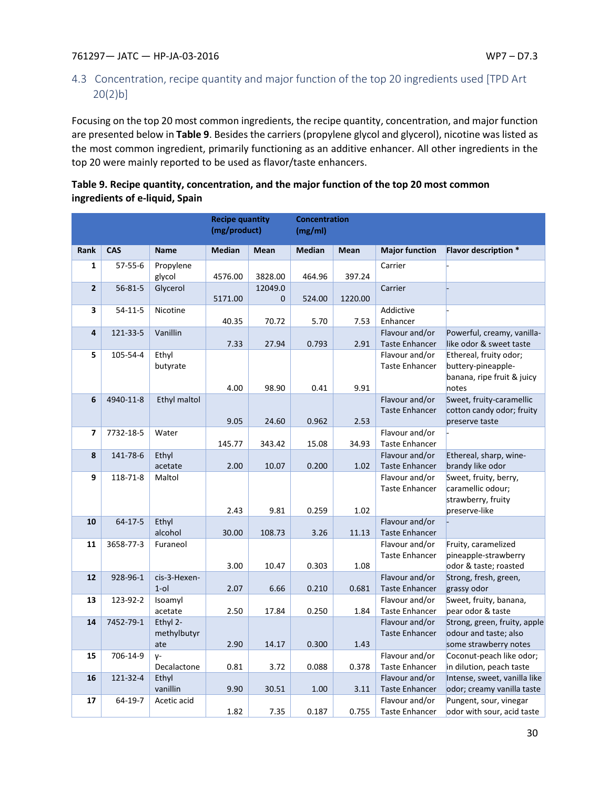# <span id="page-30-0"></span>4.3 Concentration, recipe quantity and major function of the top 20 ingredients used [TPD Art 20(2)b]

Focusing on the top 20 most common ingredients, the recipe quantity, concentration, and major function are presented below in **Table 9**. Besides the carriers (propylene glycol and glycerol), nicotine was listed as the most common ingredient, primarily functioning as an additive enhancer. All other ingredients in the top 20 were mainly reported to be used as flavor/taste enhancers.

| Table 9. Recipe quantity, concentration, and the major function of the top 20 most common |
|-------------------------------------------------------------------------------------------|
| ingredients of e-liquid, Spain                                                            |

|                |               |                                | <b>Recipe quantity</b><br>(mg/product) |                     | <b>Concentration</b><br>(mg/ml) |             |                                         |                                                                                     |
|----------------|---------------|--------------------------------|----------------------------------------|---------------------|---------------------------------|-------------|-----------------------------------------|-------------------------------------------------------------------------------------|
| <b>Rank</b>    | <b>CAS</b>    | <b>Name</b>                    | <b>Median</b>                          | Mean                | <b>Median</b>                   | <b>Mean</b> | <b>Major function</b>                   | <b>Flavor description *</b>                                                         |
| $\mathbf{1}$   | $57 - 55 - 6$ | Propylene<br>glycol            | 4576.00                                | 3828.00             | 464.96                          | 397.24      | Carrier                                 |                                                                                     |
| $\overline{2}$ | $56 - 81 - 5$ | Glycerol                       | 5171.00                                | 12049.0<br>$\Omega$ | 524.00                          | 1220.00     | Carrier                                 |                                                                                     |
| 3              | $54 - 11 - 5$ | Nicotine                       | 40.35                                  | 70.72               | 5.70                            | 7.53        | Addictive<br>Enhancer                   |                                                                                     |
| 4              | 121-33-5      | Vanillin                       | 7.33                                   | 27.94               | 0.793                           | 2.91        | Flavour and/or<br><b>Taste Enhancer</b> | Powerful, creamy, vanilla-<br>like odor & sweet taste                               |
| 5              | 105-54-4      | Ethyl<br>butyrate              | 4.00                                   | 98.90               | 0.41                            | 9.91        | Flavour and/or<br><b>Taste Enhancer</b> | Ethereal, fruity odor;<br>buttery-pineapple-<br>banana, ripe fruit & juicy<br>notes |
| 6              | 4940-11-8     | Ethyl maltol                   | 9.05                                   | 24.60               | 0.962                           | 2.53        | Flavour and/or<br><b>Taste Enhancer</b> | Sweet, fruity-caramellic<br>cotton candy odor; fruity<br>preserve taste             |
| 7              | 7732-18-5     | Water                          | 145.77                                 | 343.42              | 15.08                           | 34.93       | Flavour and/or<br><b>Taste Enhancer</b> |                                                                                     |
| 8              | 141-78-6      | Ethyl<br>acetate               | 2.00                                   | 10.07               | 0.200                           | 1.02        | Flavour and/or<br><b>Taste Enhancer</b> | Ethereal, sharp, wine-<br>brandy like odor                                          |
| 9              | 118-71-8      | Maltol                         | 2.43                                   | 9.81                | 0.259                           | 1.02        | Flavour and/or<br><b>Taste Enhancer</b> | Sweet, fruity, berry,<br>caramellic odour;<br>strawberry, fruity<br>preserve-like   |
| 10             | $64 - 17 - 5$ | Ethyl<br>alcohol               | 30.00                                  | 108.73              | 3.26                            | 11.13       | Flavour and/or<br><b>Taste Enhancer</b> |                                                                                     |
| 11             | 3658-77-3     | Furaneol                       | 3.00                                   | 10.47               | 0.303                           | 1.08        | Flavour and/or<br><b>Taste Enhancer</b> | Fruity, caramelized<br>pineapple-strawberry<br>odor & taste; roasted                |
| 12             | 928-96-1      | cis-3-Hexen-<br>$1$ -ol        | 2.07                                   | 6.66                | 0.210                           | 0.681       | Flavour and/or<br><b>Taste Enhancer</b> | Strong, fresh, green,<br>grassy odor                                                |
| 13             | 123-92-2      | Isoamyl<br>acetate             | 2.50                                   | 17.84               | 0.250                           | 1.84        | Flavour and/or<br><b>Taste Enhancer</b> | Sweet, fruity, banana,<br>pear odor & taste                                         |
| 14             | 7452-79-1     | Ethyl 2-<br>methylbutyr<br>ate | 2.90                                   | 14.17               | 0.300                           | 1.43        | Flavour and/or<br><b>Taste Enhancer</b> | Strong, green, fruity, apple<br>odour and taste; also<br>some strawberry notes      |
| 15             | 706-14-9      | $V -$<br>Decalactone           | 0.81                                   | 3.72                | 0.088                           | 0.378       | Flavour and/or<br><b>Taste Enhancer</b> | Coconut-peach like odor;<br>in dilution, peach taste                                |
| 16             | 121-32-4      | Ethyl<br>vanillin              | 9.90                                   | 30.51               | 1.00                            | 3.11        | Flavour and/or<br><b>Taste Enhancer</b> | Intense, sweet, vanilla like<br>odor; creamy vanilla taste                          |
| 17             | 64-19-7       | Acetic acid                    | 1.82                                   | 7.35                | 0.187                           | 0.755       | Flavour and/or<br><b>Taste Enhancer</b> | Pungent, sour, vinegar<br>odor with sour, acid taste                                |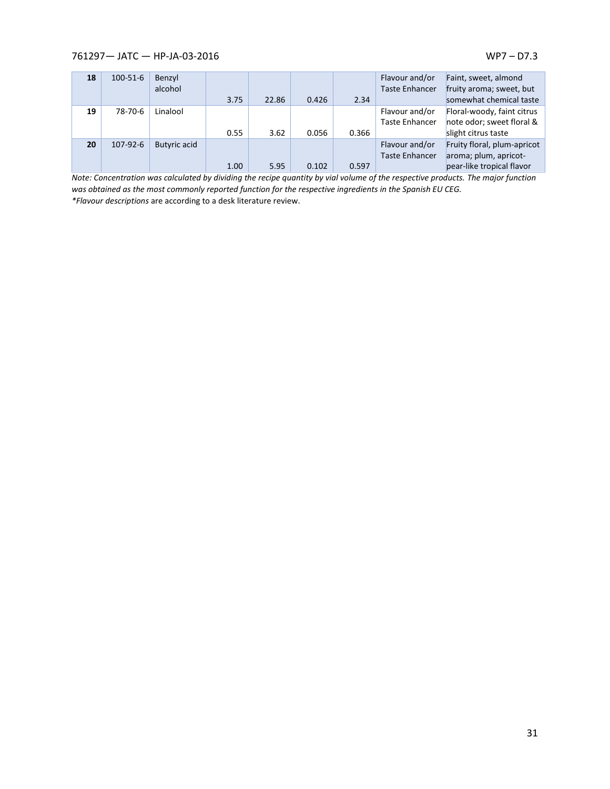| 18 | $100 - 51 - 6$ | Benzyl              |      |       |       |       | Flavour and/or        | Faint, sweet, almond        |
|----|----------------|---------------------|------|-------|-------|-------|-----------------------|-----------------------------|
|    |                | alcohol             |      |       |       |       | <b>Taste Enhancer</b> | fruity aroma; sweet, but    |
|    |                |                     | 3.75 | 22.86 | 0.426 | 2.34  |                       | somewhat chemical taste     |
| 19 | 78-70-6        | Linalool            |      |       |       |       | Flavour and/or        | Floral-woody, faint citrus  |
|    |                |                     |      |       |       |       | <b>Taste Enhancer</b> | note odor; sweet floral &   |
|    |                |                     | 0.55 | 3.62  | 0.056 | 0.366 |                       | slight citrus taste         |
| 20 | 107-92-6       | <b>Butyric acid</b> |      |       |       |       | Flavour and/or        | Fruity floral, plum-apricot |
|    |                |                     |      |       |       |       | <b>Taste Enhancer</b> | aroma; plum, apricot-       |
|    |                |                     | 1.00 | 5.95  | 0.102 | 0.597 |                       | pear-like tropical flavor   |

*Note: Concentration was calculated by dividing the recipe quantity by vial volume of the respective products. The major function was obtained as the most commonly reported function for the respective ingredients in the Spanish EU CEG.*

*\*Flavour descriptions* are according to a desk literature review.